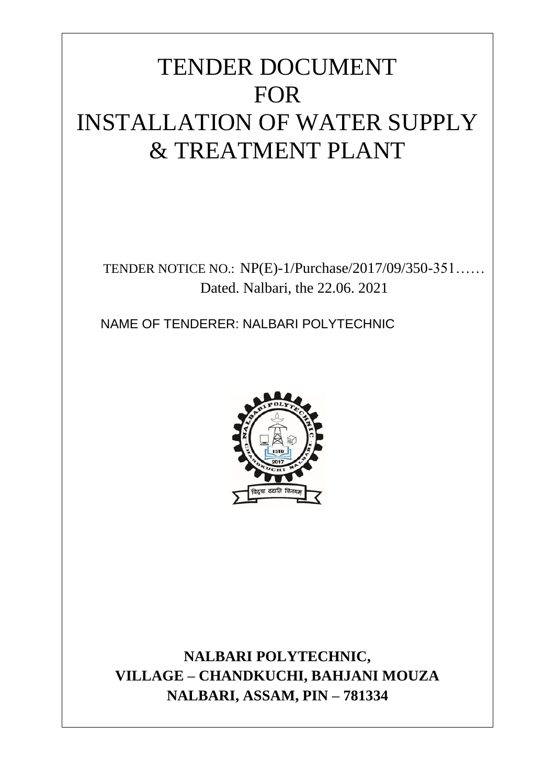# TENDER DOCUMENT FOR INSTALLATION OF WATER SUPPLY & TREATMENT PLANT

TENDER NOTICE NO.: NP(E)-1/Purchase/2017/09/350-351…… Dated. Nalbari, the 22.06. 2021

NAME OF TENDERER: NALBARI POLYTECHNIC



**NALBARI POLYTECHNIC, VILLAGE – CHANDKUCHI, BAHJANI MOUZA NALBARI, ASSAM, PIN – 781334**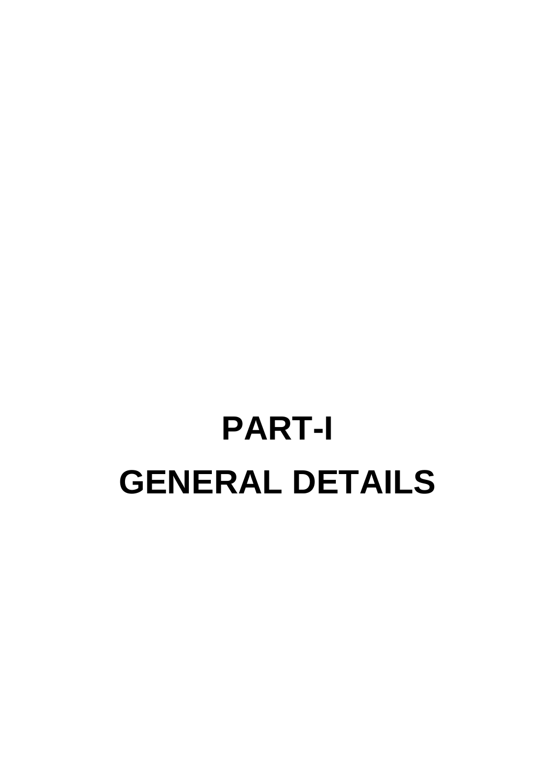# **PART-I GENERAL DETAILS**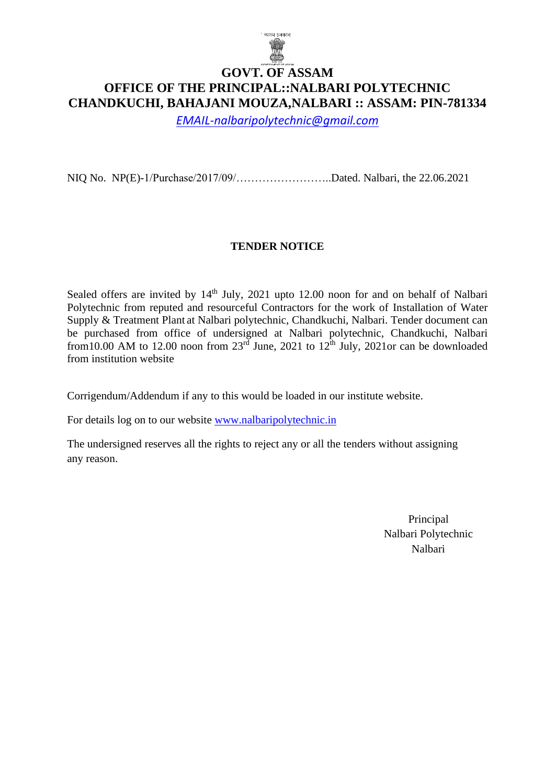

### **GOVT. OF ASSAM OFFICE OF THE PRINCIPAL::NALBARI POLYTECHNIC CHANDKUCHI, BAHAJANI MOUZA,NALBARI :: ASSAM: PIN-781334**

*[EMAIL-nalbaripolytechnic@gmail.com](mailto:EMAIL-nalbaripolytechnic@gmail.com)*

NIQ No.NP(E)-1/Purchase/2017/09/……………………..Dated. Nalbari, the 22.06.2021

### **TENDER NOTICE**

Sealed offers are invited by  $14<sup>th</sup>$  July, 2021 upto 12.00 noon for and on behalf of Nalbari Polytechnic from reputed and resourceful Contractors for the work of Installation of Water Supply & Treatment Plant at Nalbari polytechnic, Chandkuchi, Nalbari. Tender document can be purchased from office of undersigned at Nalbari polytechnic, Chandkuchi, Nalbari from 10.00 AM to 12.00 noon from  $23^{rd}$  June, 2021 to  $12^{th}$  July, 2021or can be downloaded from institution website

Corrigendum/Addendum if any to this would be loaded in our institute website.

For details log on to our website [www.nalbaripolytechnic.in](http://www.nalbaripolytechnic.in/)

The undersigned reserves all the rights to reject any or all the tenders without assigning any reason.

> Principal Nalbari Polytechnic Nalbari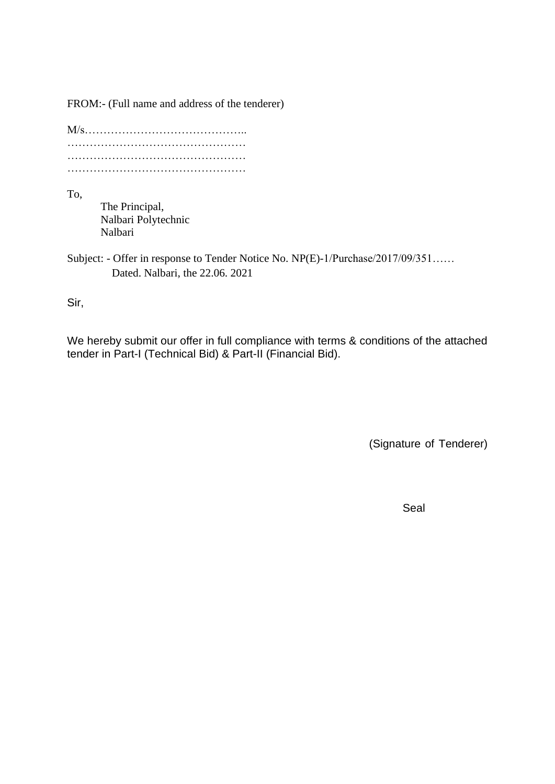FROM:- (Full name and address of the tenderer)

To,

The Principal, Nalbari Polytechnic Nalbari

Subject: - Offer in response to Tender Notice No. NP(E)-1/Purchase/2017/09/351…… Dated. Nalbari, the 22.06. 2021

Sir,

We hereby submit our offer in full compliance with terms & conditions of the attached tender in Part-I (Technical Bid) & Part-II (Financial Bid).

(Signature of Tenderer)

Seal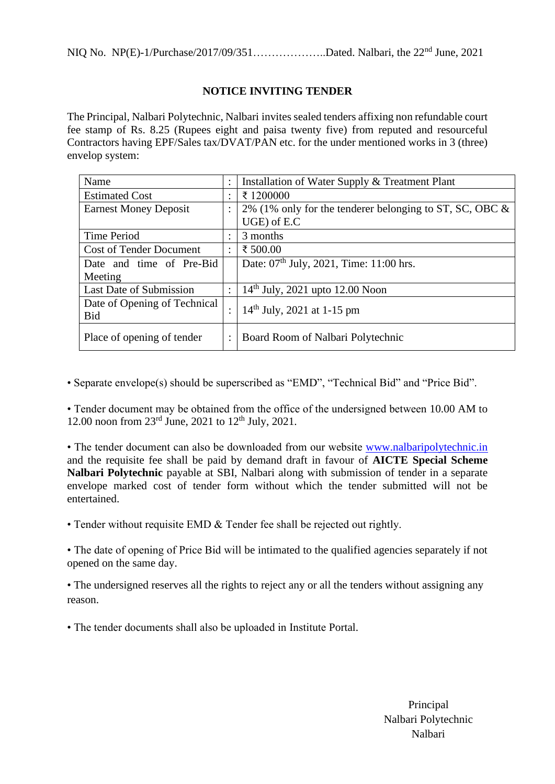### **NOTICE INVITING TENDER**

The Principal, Nalbari Polytechnic, Nalbari invites sealed tenders affixing non refundable court fee stamp of Rs. 8.25 (Rupees eight and paisa twenty five) from reputed and resourceful Contractors having EPF/Sales tax/DVAT/PAN etc. for the under mentioned works in 3 (three) envelop system:

| Name                                |   | Installation of Water Supply & Treatment Plant             |
|-------------------------------------|---|------------------------------------------------------------|
| <b>Estimated Cost</b>               |   | ₹1200000                                                   |
| <b>Earnest Money Deposit</b>        |   | 2% (1% only for the tenderer belonging to ST, SC, OBC $\&$ |
|                                     |   | UGE) of E.C                                                |
| Time Period                         |   | 3 months                                                   |
| <b>Cost of Tender Document</b>      | ÷ | ₹ 500.00                                                   |
| Date and time of Pre-Bid            |   | Date: $07th$ July, 2021, Time: 11:00 hrs.                  |
| Meeting                             |   |                                                            |
| Last Date of Submission             |   | $14th$ July, 2021 upto 12.00 Noon                          |
| Date of Opening of Technical<br>Bid |   | $14th$ July, 2021 at 1-15 pm                               |
| Place of opening of tender          | ÷ | Board Room of Nalbari Polytechnic                          |

• Separate envelope(s) should be superscribed as "EMD", "Technical Bid" and "Price Bid".

• Tender document may be obtained from the office of the undersigned between 10.00 AM to 12.00 noon from  $23^{\text{rd}}$  June,  $2021$  to  $12^{\text{th}}$  July,  $2021$ .

• The tender document can also be downloaded from our website [www.nalbarip](http://www.nalbari/)olytechnic.in and the requisite fee shall be paid by demand draft in favour of **AICTE Special Scheme Nalbari Polytechnic** payable at SBI, Nalbari along with submission of tender in a separate envelope marked cost of tender form without which the tender submitted will not be entertained.

• Tender without requisite EMD & Tender fee shall be rejected out rightly.

• The date of opening of Price Bid will be intimated to the qualified agencies separately if not opened on the same day.

• The undersigned reserves all the rights to reject any or all the tenders without assigning any reason.

• The tender documents shall also be uploaded in Institute Portal.

Principal Nalbari Polytechnic Nalbari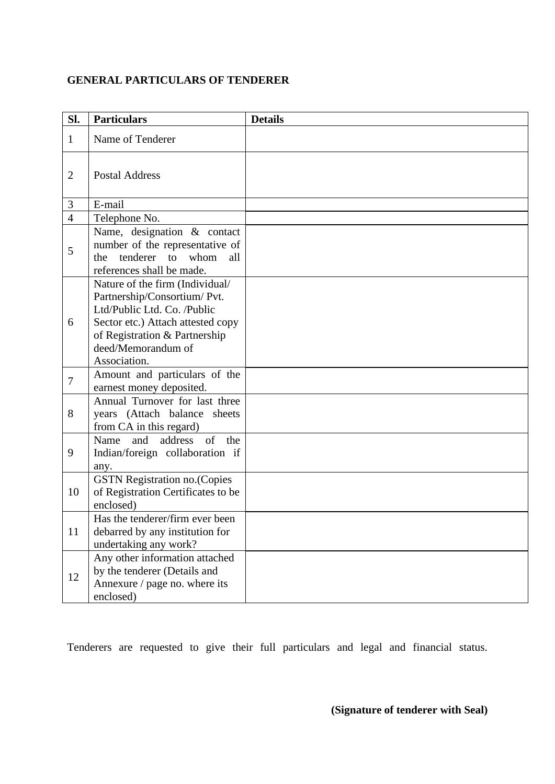### **GENERAL PARTICULARS OF TENDERER**

| Sl.            | <b>Particulars</b>                                                                                                                                                                                         | <b>Details</b> |
|----------------|------------------------------------------------------------------------------------------------------------------------------------------------------------------------------------------------------------|----------------|
| $\mathbf{1}$   | Name of Tenderer                                                                                                                                                                                           |                |
| $\overline{2}$ | <b>Postal Address</b>                                                                                                                                                                                      |                |
| 3              | E-mail                                                                                                                                                                                                     |                |
| $\overline{4}$ | Telephone No.                                                                                                                                                                                              |                |
| 5              | Name, designation & contact<br>number of the representative of<br>tenderer to whom<br>the<br>all<br>references shall be made.                                                                              |                |
| 6              | Nature of the firm (Individual/<br>Partnership/Consortium/ Pvt.<br>Ltd/Public Ltd. Co. /Public<br>Sector etc.) Attach attested copy<br>of Registration & Partnership<br>deed/Memorandum of<br>Association. |                |
| $\tau$         | Amount and particulars of the<br>earnest money deposited.                                                                                                                                                  |                |
| 8              | Annual Turnover for last three<br>years (Attach balance sheets<br>from CA in this regard)                                                                                                                  |                |
| 9              | address of<br>and<br>Name<br>the<br>Indian/foreign collaboration if<br>any.                                                                                                                                |                |
| 10             | <b>GSTN Registration no. (Copies</b><br>of Registration Certificates to be<br>enclosed)                                                                                                                    |                |
| 11             | Has the tenderer/firm ever been<br>debarred by any institution for<br>undertaking any work?                                                                                                                |                |
| 12             | Any other information attached<br>by the tenderer (Details and<br>Annexure / page no. where its<br>enclosed)                                                                                               |                |

Tenderers are requested to give their full particulars and legal and financial status.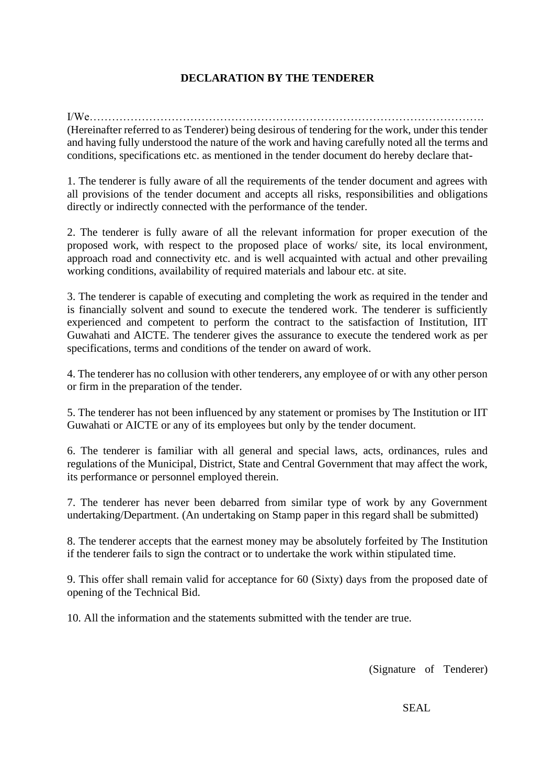### **DECLARATION BY THE TENDERER**

I/We……………………………………………………………………………………………. (Hereinafter referred to as Tenderer) being desirous of tendering for the work, under this tender and having fully understood the nature of the work and having carefully noted all the terms and conditions, specifications etc. as mentioned in the tender document do hereby declare that-

1. The tenderer is fully aware of all the requirements of the tender document and agrees with all provisions of the tender document and accepts all risks, responsibilities and obligations directly or indirectly connected with the performance of the tender.

2. The tenderer is fully aware of all the relevant information for proper execution of the proposed work, with respect to the proposed place of works/ site, its local environment, approach road and connectivity etc. and is well acquainted with actual and other prevailing working conditions, availability of required materials and labour etc. at site.

3. The tenderer is capable of executing and completing the work as required in the tender and is financially solvent and sound to execute the tendered work. The tenderer is sufficiently experienced and competent to perform the contract to the satisfaction of Institution, IIT Guwahati and AICTE. The tenderer gives the assurance to execute the tendered work as per specifications, terms and conditions of the tender on award of work.

4. The tenderer has no collusion with other tenderers, any employee of or with any other person or firm in the preparation of the tender.

5. The tenderer has not been influenced by any statement or promises by The Institution or IIT Guwahati or AICTE or any of its employees but only by the tender document.

6. The tenderer is familiar with all general and special laws, acts, ordinances, rules and regulations of the Municipal, District, State and Central Government that may affect the work, its performance or personnel employed therein.

7. The tenderer has never been debarred from similar type of work by any Government undertaking/Department. (An undertaking on Stamp paper in this regard shall be submitted)

8. The tenderer accepts that the earnest money may be absolutely forfeited by The Institution if the tenderer fails to sign the contract or to undertake the work within stipulated time.

9. This offer shall remain valid for acceptance for 60 (Sixty) days from the proposed date of opening of the Technical Bid.

10. All the information and the statements submitted with the tender are true.

(Signature of Tenderer)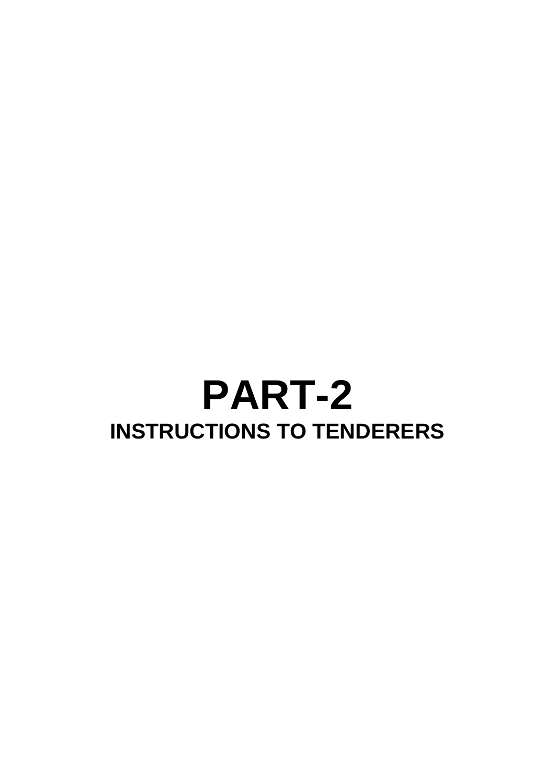# **PART-2 INSTRUCTIONS TO TENDERERS**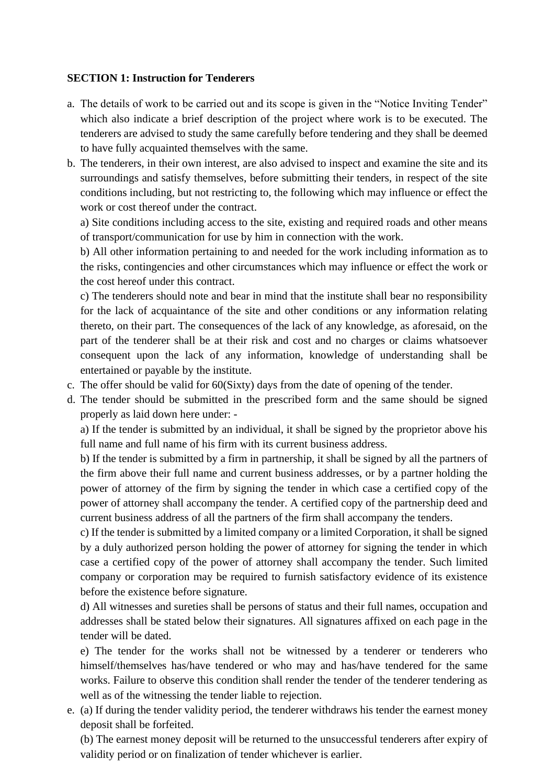### **SECTION 1: Instruction for Tenderers**

- a. The details of work to be carried out and its scope is given in the "Notice Inviting Tender" which also indicate a brief description of the project where work is to be executed. The tenderers are advised to study the same carefully before tendering and they shall be deemed to have fully acquainted themselves with the same.
- b. The tenderers, in their own interest, are also advised to inspect and examine the site and its surroundings and satisfy themselves, before submitting their tenders, in respect of the site conditions including, but not restricting to, the following which may influence or effect the work or cost thereof under the contract.

a) Site conditions including access to the site, existing and required roads and other means of transport/communication for use by him in connection with the work.

b) All other information pertaining to and needed for the work including information as to the risks, contingencies and other circumstances which may influence or effect the work or the cost hereof under this contract.

c) The tenderers should note and bear in mind that the institute shall bear no responsibility for the lack of acquaintance of the site and other conditions or any information relating thereto, on their part. The consequences of the lack of any knowledge, as aforesaid, on the part of the tenderer shall be at their risk and cost and no charges or claims whatsoever consequent upon the lack of any information, knowledge of understanding shall be entertained or payable by the institute.

- c. The offer should be valid for 60(Sixty) days from the date of opening of the tender.
- d. The tender should be submitted in the prescribed form and the same should be signed properly as laid down here under: -

a) If the tender is submitted by an individual, it shall be signed by the proprietor above his full name and full name of his firm with its current business address.

b) If the tender is submitted by a firm in partnership, it shall be signed by all the partners of the firm above their full name and current business addresses, or by a partner holding the power of attorney of the firm by signing the tender in which case a certified copy of the power of attorney shall accompany the tender. A certified copy of the partnership deed and current business address of all the partners of the firm shall accompany the tenders.

c) If the tender is submitted by a limited company or a limited Corporation, it shall be signed by a duly authorized person holding the power of attorney for signing the tender in which case a certified copy of the power of attorney shall accompany the tender. Such limited company or corporation may be required to furnish satisfactory evidence of its existence before the existence before signature.

d) All witnesses and sureties shall be persons of status and their full names, occupation and addresses shall be stated below their signatures. All signatures affixed on each page in the tender will be dated.

e) The tender for the works shall not be witnessed by a tenderer or tenderers who himself/themselves has/have tendered or who may and has/have tendered for the same works. Failure to observe this condition shall render the tender of the tenderer tendering as well as of the witnessing the tender liable to rejection.

e. (a) If during the tender validity period, the tenderer withdraws his tender the earnest money deposit shall be forfeited.

(b) The earnest money deposit will be returned to the unsuccessful tenderers after expiry of validity period or on finalization of tender whichever is earlier.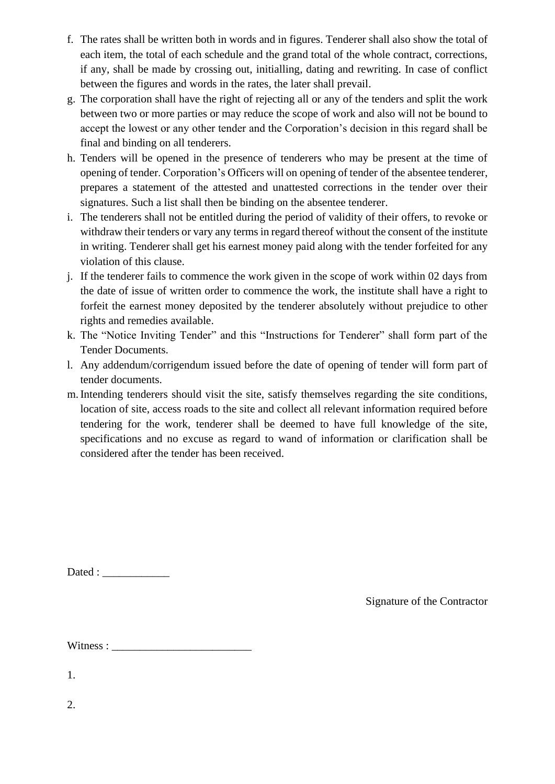- f. The rates shall be written both in words and in figures. Tenderer shall also show the total of each item, the total of each schedule and the grand total of the whole contract, corrections, if any, shall be made by crossing out, initialling, dating and rewriting. In case of conflict between the figures and words in the rates, the later shall prevail.
- g. The corporation shall have the right of rejecting all or any of the tenders and split the work between two or more parties or may reduce the scope of work and also will not be bound to accept the lowest or any other tender and the Corporation's decision in this regard shall be final and binding on all tenderers.
- h. Tenders will be opened in the presence of tenderers who may be present at the time of opening of tender. Corporation's Officers will on opening of tender of the absentee tenderer, prepares a statement of the attested and unattested corrections in the tender over their signatures. Such a list shall then be binding on the absentee tenderer.
- i. The tenderers shall not be entitled during the period of validity of their offers, to revoke or withdraw their tenders or vary any terms in regard thereof without the consent of the institute in writing. Tenderer shall get his earnest money paid along with the tender forfeited for any violation of this clause.
- j. If the tenderer fails to commence the work given in the scope of work within 02 days from the date of issue of written order to commence the work, the institute shall have a right to forfeit the earnest money deposited by the tenderer absolutely without prejudice to other rights and remedies available.
- k. The "Notice Inviting Tender" and this "Instructions for Tenderer" shall form part of the Tender Documents.
- l. Any addendum/corrigendum issued before the date of opening of tender will form part of tender documents.
- m.Intending tenderers should visit the site, satisfy themselves regarding the site conditions, location of site, access roads to the site and collect all relevant information required before tendering for the work, tenderer shall be deemed to have full knowledge of the site, specifications and no excuse as regard to wand of information or clarification shall be considered after the tender has been received.

 $Dated:$ 

Signature of the Contractor

Witness :

1.

2.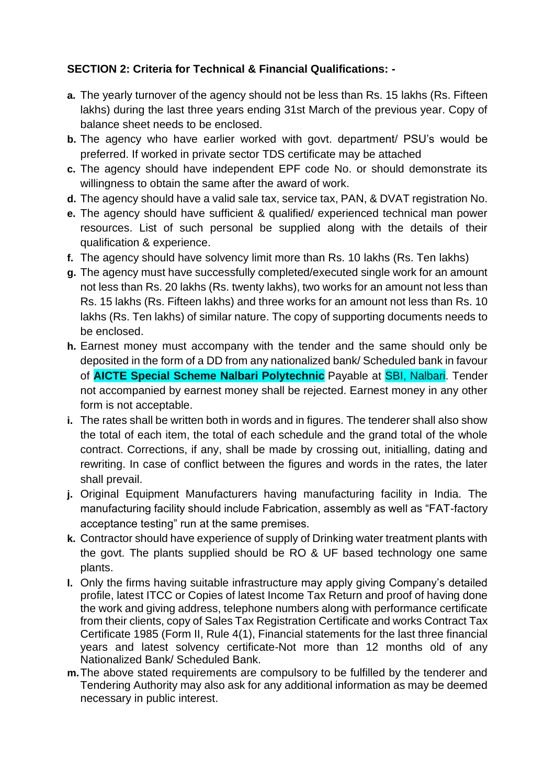### **SECTION 2: Criteria for Technical & Financial Qualifications: -**

- **a.** The yearly turnover of the agency should not be less than Rs. 15 lakhs (Rs. Fifteen lakhs) during the last three years ending 31st March of the previous year. Copy of balance sheet needs to be enclosed.
- **b.** The agency who have earlier worked with govt. department/ PSU's would be preferred. If worked in private sector TDS certificate may be attached
- **c.** The agency should have independent EPF code No. or should demonstrate its willingness to obtain the same after the award of work.
- **d.** The agency should have a valid sale tax, service tax, PAN, & DVAT registration No.
- **e.** The agency should have sufficient & qualified/ experienced technical man power resources. List of such personal be supplied along with the details of their qualification & experience.
- **f.** The agency should have solvency limit more than Rs. 10 lakhs (Rs. Ten lakhs)
- **g.** The agency must have successfully completed/executed single work for an amount not less than Rs. 20 lakhs (Rs. twenty lakhs), two works for an amount not less than Rs. 15 lakhs (Rs. Fifteen lakhs) and three works for an amount not less than Rs. 10 lakhs (Rs. Ten lakhs) of similar nature. The copy of supporting documents needs to be enclosed.
- **h.** Earnest money must accompany with the tender and the same should only be deposited in the form of a DD from any nationalized bank/ Scheduled bank in favour of **AICTE Special Scheme Nalbari Polytechnic** Payable at SBI, Nalbari. Tender not accompanied by earnest money shall be rejected. Earnest money in any other form is not acceptable.
- **i.** The rates shall be written both in words and in figures. The tenderer shall also show the total of each item, the total of each schedule and the grand total of the whole contract. Corrections, if any, shall be made by crossing out, initialling, dating and rewriting. In case of conflict between the figures and words in the rates, the later shall prevail.
- **j.** Original Equipment Manufacturers having manufacturing facility in India. The manufacturing facility should include Fabrication, assembly as well as "FAT-factory acceptance testing" run at the same premises.
- **k.** Contractor should have experience of supply of Drinking water treatment plants with the govt. The plants supplied should be RO & UF based technology one same plants.
- **l.** Only the firms having suitable infrastructure may apply giving Company's detailed profile, latest ITCC or Copies of latest Income Tax Return and proof of having done the work and giving address, telephone numbers along with performance certificate from their clients, copy of Sales Tax Registration Certificate and works Contract Tax Certificate 1985 (Form II, Rule 4(1), Financial statements for the last three financial years and latest solvency certificate-Not more than 12 months old of any Nationalized Bank/ Scheduled Bank.
- **m.**The above stated requirements are compulsory to be fulfilled by the tenderer and Tendering Authority may also ask for any additional information as may be deemed necessary in public interest.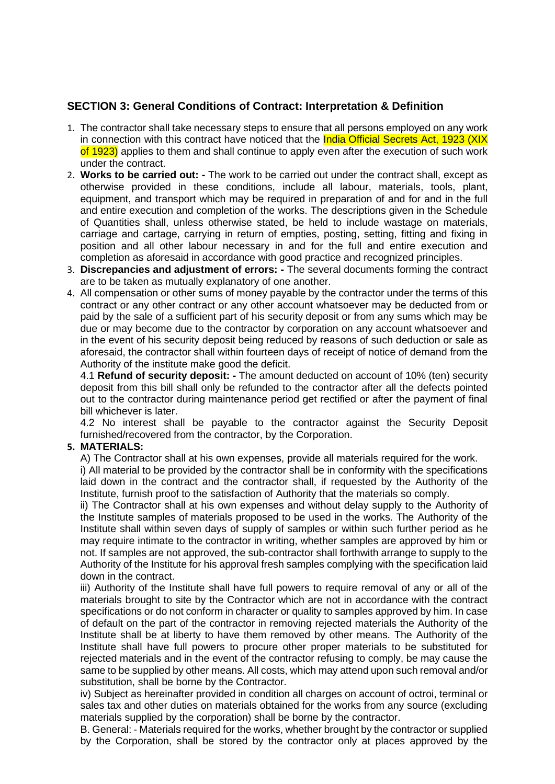### **SECTION 3: General Conditions of Contract: Interpretation & Definition**

- 1. The contractor shall take necessary steps to ensure that all persons employed on any work in connection with this contract have noticed that the **India Official Secrets Act, 1923 (XIX** of 1923) applies to them and shall continue to apply even after the execution of such work under the contract.
- 2. **Works to be carried out: -** The work to be carried out under the contract shall, except as otherwise provided in these conditions, include all labour, materials, tools, plant, equipment, and transport which may be required in preparation of and for and in the full and entire execution and completion of the works. The descriptions given in the Schedule of Quantities shall, unless otherwise stated, be held to include wastage on materials, carriage and cartage, carrying in return of empties, posting, setting, fitting and fixing in position and all other labour necessary in and for the full and entire execution and completion as aforesaid in accordance with good practice and recognized principles.
- 3. **Discrepancies and adjustment of errors: -** The several documents forming the contract are to be taken as mutually explanatory of one another.
- 4. All compensation or other sums of money payable by the contractor under the terms of this contract or any other contract or any other account whatsoever may be deducted from or paid by the sale of a sufficient part of his security deposit or from any sums which may be due or may become due to the contractor by corporation on any account whatsoever and in the event of his security deposit being reduced by reasons of such deduction or sale as aforesaid, the contractor shall within fourteen days of receipt of notice of demand from the Authority of the institute make good the deficit.

4.1 **Refund of security deposit: -** The amount deducted on account of 10% (ten) security deposit from this bill shall only be refunded to the contractor after all the defects pointed out to the contractor during maintenance period get rectified or after the payment of final bill whichever is later.

4.2 No interest shall be payable to the contractor against the Security Deposit furnished/recovered from the contractor, by the Corporation.

#### **5. MATERIALS:**

A) The Contractor shall at his own expenses, provide all materials required for the work.

i) All material to be provided by the contractor shall be in conformity with the specifications laid down in the contract and the contractor shall, if requested by the Authority of the Institute, furnish proof to the satisfaction of Authority that the materials so comply.

ii) The Contractor shall at his own expenses and without delay supply to the Authority of the Institute samples of materials proposed to be used in the works. The Authority of the Institute shall within seven days of supply of samples or within such further period as he may require intimate to the contractor in writing, whether samples are approved by him or not. If samples are not approved, the sub-contractor shall forthwith arrange to supply to the Authority of the Institute for his approval fresh samples complying with the specification laid down in the contract.

iii) Authority of the Institute shall have full powers to require removal of any or all of the materials brought to site by the Contractor which are not in accordance with the contract specifications or do not conform in character or quality to samples approved by him. In case of default on the part of the contractor in removing rejected materials the Authority of the Institute shall be at liberty to have them removed by other means. The Authority of the Institute shall have full powers to procure other proper materials to be substituted for rejected materials and in the event of the contractor refusing to comply, be may cause the same to be supplied by other means. All costs, which may attend upon such removal and/or substitution, shall be borne by the Contractor.

iv) Subject as hereinafter provided in condition all charges on account of octroi, terminal or sales tax and other duties on materials obtained for the works from any source (excluding materials supplied by the corporation) shall be borne by the contractor.

B. General: - Materials required for the works, whether brought by the contractor or supplied by the Corporation, shall be stored by the contractor only at places approved by the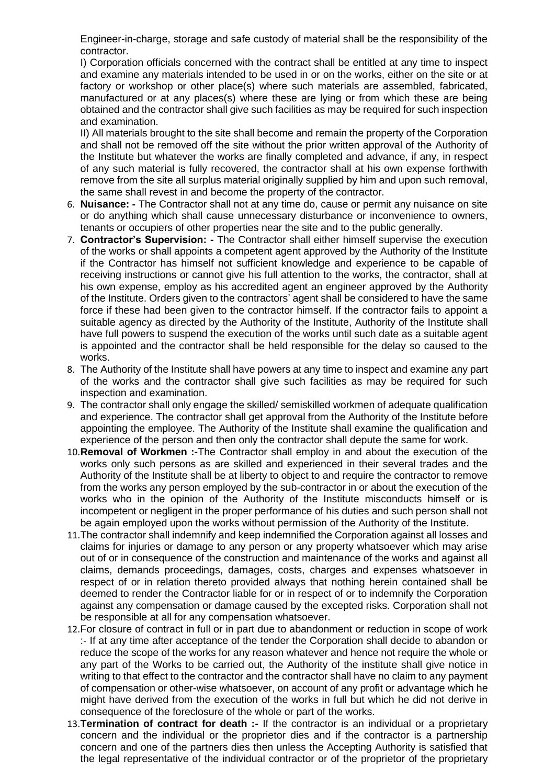Engineer-in-charge, storage and safe custody of material shall be the responsibility of the contractor.

I) Corporation officials concerned with the contract shall be entitled at any time to inspect and examine any materials intended to be used in or on the works, either on the site or at factory or workshop or other place(s) where such materials are assembled, fabricated, manufactured or at any places(s) where these are lying or from which these are being obtained and the contractor shall give such facilities as may be required for such inspection and examination.

II) All materials brought to the site shall become and remain the property of the Corporation and shall not be removed off the site without the prior written approval of the Authority of the Institute but whatever the works are finally completed and advance, if any, in respect of any such material is fully recovered, the contractor shall at his own expense forthwith remove from the site all surplus material originally supplied by him and upon such removal, the same shall revest in and become the property of the contractor.

- 6. **Nuisance: -** The Contractor shall not at any time do, cause or permit any nuisance on site or do anything which shall cause unnecessary disturbance or inconvenience to owners, tenants or occupiers of other properties near the site and to the public generally.
- 7. **Contractor's Supervision: -** The Contractor shall either himself supervise the execution of the works or shall appoints a competent agent approved by the Authority of the Institute if the Contractor has himself not sufficient knowledge and experience to be capable of receiving instructions or cannot give his full attention to the works, the contractor, shall at his own expense, employ as his accredited agent an engineer approved by the Authority of the Institute. Orders given to the contractors' agent shall be considered to have the same force if these had been given to the contractor himself. If the contractor fails to appoint a suitable agency as directed by the Authority of the Institute, Authority of the Institute shall have full powers to suspend the execution of the works until such date as a suitable agent is appointed and the contractor shall be held responsible for the delay so caused to the works.
- 8. The Authority of the Institute shall have powers at any time to inspect and examine any part of the works and the contractor shall give such facilities as may be required for such inspection and examination.
- 9. The contractor shall only engage the skilled/ semiskilled workmen of adequate qualification and experience. The contractor shall get approval from the Authority of the Institute before appointing the employee. The Authority of the Institute shall examine the qualification and experience of the person and then only the contractor shall depute the same for work.
- 10.**Removal of Workmen :-**The Contractor shall employ in and about the execution of the works only such persons as are skilled and experienced in their several trades and the Authority of the Institute shall be at liberty to object to and require the contractor to remove from the works any person employed by the sub-contractor in or about the execution of the works who in the opinion of the Authority of the Institute misconducts himself or is incompetent or negligent in the proper performance of his duties and such person shall not be again employed upon the works without permission of the Authority of the Institute.
- 11.The contractor shall indemnify and keep indemnified the Corporation against all losses and claims for injuries or damage to any person or any property whatsoever which may arise out of or in consequence of the construction and maintenance of the works and against all claims, demands proceedings, damages, costs, charges and expenses whatsoever in respect of or in relation thereto provided always that nothing herein contained shall be deemed to render the Contractor liable for or in respect of or to indemnify the Corporation against any compensation or damage caused by the excepted risks. Corporation shall not be responsible at all for any compensation whatsoever.
- 12.For closure of contract in full or in part due to abandonment or reduction in scope of work :- If at any time after acceptance of the tender the Corporation shall decide to abandon or reduce the scope of the works for any reason whatever and hence not require the whole or any part of the Works to be carried out, the Authority of the institute shall give notice in writing to that effect to the contractor and the contractor shall have no claim to any payment of compensation or other-wise whatsoever, on account of any profit or advantage which he might have derived from the execution of the works in full but which he did not derive in consequence of the foreclosure of the whole or part of the works.
- 13.**Termination of contract for death :-** If the contractor is an individual or a proprietary concern and the individual or the proprietor dies and if the contractor is a partnership concern and one of the partners dies then unless the Accepting Authority is satisfied that the legal representative of the individual contractor or of the proprietor of the proprietary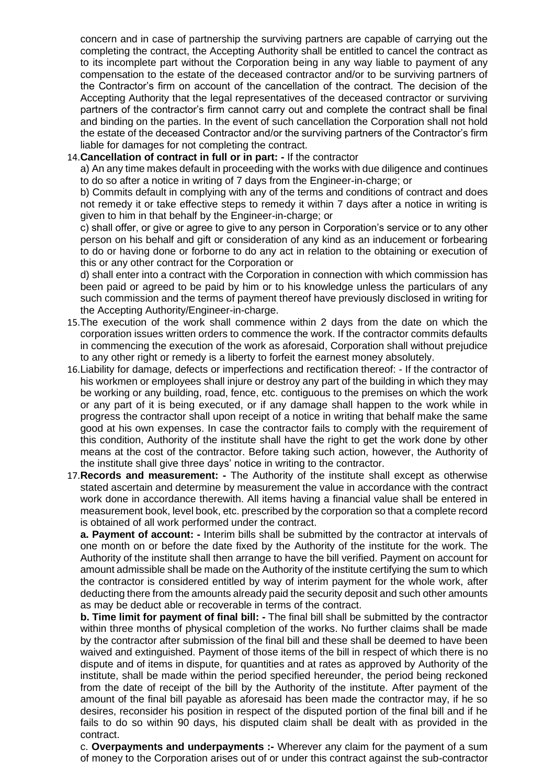concern and in case of partnership the surviving partners are capable of carrying out the completing the contract, the Accepting Authority shall be entitled to cancel the contract as to its incomplete part without the Corporation being in any way liable to payment of any compensation to the estate of the deceased contractor and/or to be surviving partners of the Contractor's firm on account of the cancellation of the contract. The decision of the Accepting Authority that the legal representatives of the deceased contractor or surviving partners of the contractor's firm cannot carry out and complete the contract shall be final and binding on the parties. In the event of such cancellation the Corporation shall not hold the estate of the deceased Contractor and/or the surviving partners of the Contractor's firm liable for damages for not completing the contract.

#### 14.**Cancellation of contract in full or in part: -** If the contractor

a) An any time makes default in proceeding with the works with due diligence and continues to do so after a notice in writing of 7 days from the Engineer-in-charge; or

b) Commits default in complying with any of the terms and conditions of contract and does not remedy it or take effective steps to remedy it within 7 days after a notice in writing is given to him in that behalf by the Engineer-in-charge; or

c) shall offer, or give or agree to give to any person in Corporation's service or to any other person on his behalf and gift or consideration of any kind as an inducement or forbearing to do or having done or forborne to do any act in relation to the obtaining or execution of this or any other contract for the Corporation or

d) shall enter into a contract with the Corporation in connection with which commission has been paid or agreed to be paid by him or to his knowledge unless the particulars of any such commission and the terms of payment thereof have previously disclosed in writing for the Accepting Authority/Engineer-in-charge.

- 15.The execution of the work shall commence within 2 days from the date on which the corporation issues written orders to commence the work. If the contractor commits defaults in commencing the execution of the work as aforesaid, Corporation shall without prejudice to any other right or remedy is a liberty to forfeit the earnest money absolutely.
- 16.Liability for damage, defects or imperfections and rectification thereof: If the contractor of his workmen or employees shall injure or destroy any part of the building in which they may be working or any building, road, fence, etc. contiguous to the premises on which the work or any part of it is being executed, or if any damage shall happen to the work while in progress the contractor shall upon receipt of a notice in writing that behalf make the same good at his own expenses. In case the contractor fails to comply with the requirement of this condition, Authority of the institute shall have the right to get the work done by other means at the cost of the contractor. Before taking such action, however, the Authority of the institute shall give three days' notice in writing to the contractor.
- 17.**Records and measurement: -** The Authority of the institute shall except as otherwise stated ascertain and determine by measurement the value in accordance with the contract work done in accordance therewith. All items having a financial value shall be entered in measurement book, level book, etc. prescribed by the corporation so that a complete record is obtained of all work performed under the contract.

**a. Payment of account: -** Interim bills shall be submitted by the contractor at intervals of one month on or before the date fixed by the Authority of the institute for the work. The Authority of the institute shall then arrange to have the bill verified. Payment on account for amount admissible shall be made on the Authority of the institute certifying the sum to which the contractor is considered entitled by way of interim payment for the whole work, after deducting there from the amounts already paid the security deposit and such other amounts as may be deduct able or recoverable in terms of the contract.

**b. Time limit for payment of final bill: -** The final bill shall be submitted by the contractor within three months of physical completion of the works. No further claims shall be made by the contractor after submission of the final bill and these shall be deemed to have been waived and extinguished. Payment of those items of the bill in respect of which there is no dispute and of items in dispute, for quantities and at rates as approved by Authority of the institute, shall be made within the period specified hereunder, the period being reckoned from the date of receipt of the bill by the Authority of the institute. After payment of the amount of the final bill payable as aforesaid has been made the contractor may, if he so desires, reconsider his position in respect of the disputed portion of the final bill and if he fails to do so within 90 days, his disputed claim shall be dealt with as provided in the contract.

c. **Overpayments and underpayments :-** Wherever any claim for the payment of a sum of money to the Corporation arises out of or under this contract against the sub-contractor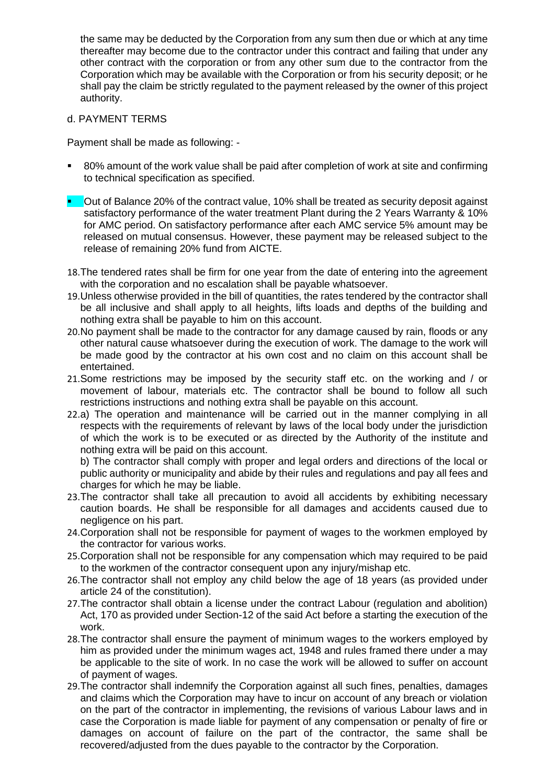the same may be deducted by the Corporation from any sum then due or which at any time thereafter may become due to the contractor under this contract and failing that under any other contract with the corporation or from any other sum due to the contractor from the Corporation which may be available with the Corporation or from his security deposit; or he shall pay the claim be strictly regulated to the payment released by the owner of this project authority.

### d. PAYMENT TERMS

Payment shall be made as following: -

- 80% amount of the work value shall be paid after completion of work at site and confirming to technical specification as specified.
- **•** Out of Balance 20% of the contract value, 10% shall be treated as security deposit against satisfactory performance of the water treatment Plant during the 2 Years Warranty & 10% for AMC period. On satisfactory performance after each AMC service 5% amount may be released on mutual consensus. However, these payment may be released subject to the release of remaining 20% fund from AICTE.
- 18.The tendered rates shall be firm for one year from the date of entering into the agreement with the corporation and no escalation shall be payable whatsoever.
- 19.Unless otherwise provided in the bill of quantities, the rates tendered by the contractor shall be all inclusive and shall apply to all heights, lifts loads and depths of the building and nothing extra shall be payable to him on this account.
- 20.No payment shall be made to the contractor for any damage caused by rain, floods or any other natural cause whatsoever during the execution of work. The damage to the work will be made good by the contractor at his own cost and no claim on this account shall be entertained.
- 21.Some restrictions may be imposed by the security staff etc. on the working and / or movement of labour, materials etc. The contractor shall be bound to follow all such restrictions instructions and nothing extra shall be payable on this account.
- 22.a) The operation and maintenance will be carried out in the manner complying in all respects with the requirements of relevant by laws of the local body under the jurisdiction of which the work is to be executed or as directed by the Authority of the institute and nothing extra will be paid on this account.

b) The contractor shall comply with proper and legal orders and directions of the local or public authority or municipality and abide by their rules and regulations and pay all fees and charges for which he may be liable.

- 23.The contractor shall take all precaution to avoid all accidents by exhibiting necessary caution boards. He shall be responsible for all damages and accidents caused due to negligence on his part.
- 24.Corporation shall not be responsible for payment of wages to the workmen employed by the contractor for various works.
- 25.Corporation shall not be responsible for any compensation which may required to be paid to the workmen of the contractor consequent upon any injury/mishap etc.
- 26.The contractor shall not employ any child below the age of 18 years (as provided under article 24 of the constitution).
- 27.The contractor shall obtain a license under the contract Labour (regulation and abolition) Act, 170 as provided under Section-12 of the said Act before a starting the execution of the work.
- 28.The contractor shall ensure the payment of minimum wages to the workers employed by him as provided under the minimum wages act, 1948 and rules framed there under a may be applicable to the site of work. In no case the work will be allowed to suffer on account of payment of wages.
- 29.The contractor shall indemnify the Corporation against all such fines, penalties, damages and claims which the Corporation may have to incur on account of any breach or violation on the part of the contractor in implementing, the revisions of various Labour laws and in case the Corporation is made liable for payment of any compensation or penalty of fire or damages on account of failure on the part of the contractor, the same shall be recovered/adjusted from the dues payable to the contractor by the Corporation.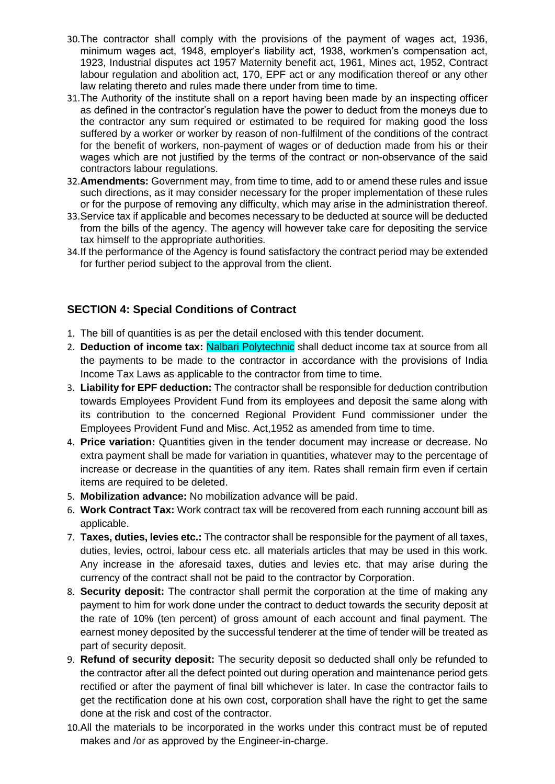- 30.The contractor shall comply with the provisions of the payment of wages act, 1936, minimum wages act, 1948, employer's liability act, 1938, workmen's compensation act, 1923, Industrial disputes act 1957 Maternity benefit act, 1961, Mines act, 1952, Contract labour regulation and abolition act, 170, EPF act or any modification thereof or any other law relating thereto and rules made there under from time to time.
- 31.The Authority of the institute shall on a report having been made by an inspecting officer as defined in the contractor's regulation have the power to deduct from the moneys due to the contractor any sum required or estimated to be required for making good the loss suffered by a worker or worker by reason of non-fulfilment of the conditions of the contract for the benefit of workers, non-payment of wages or of deduction made from his or their wages which are not justified by the terms of the contract or non-observance of the said contractors labour regulations.
- 32.**Amendments:** Government may, from time to time, add to or amend these rules and issue such directions, as it may consider necessary for the proper implementation of these rules or for the purpose of removing any difficulty, which may arise in the administration thereof.
- 33.Service tax if applicable and becomes necessary to be deducted at source will be deducted from the bills of the agency. The agency will however take care for depositing the service tax himself to the appropriate authorities.
- 34.If the performance of the Agency is found satisfactory the contract period may be extended for further period subject to the approval from the client.

### **SECTION 4: Special Conditions of Contract**

- 1. The bill of quantities is as per the detail enclosed with this tender document.
- 2. **Deduction of income tax:** Nalbari Polytechnic shall deduct income tax at source from all the payments to be made to the contractor in accordance with the provisions of India Income Tax Laws as applicable to the contractor from time to time.
- 3. **Liability for EPF deduction:** The contractor shall be responsible for deduction contribution towards Employees Provident Fund from its employees and deposit the same along with its contribution to the concerned Regional Provident Fund commissioner under the Employees Provident Fund and Misc. Act,1952 as amended from time to time.
- 4. **Price variation:** Quantities given in the tender document may increase or decrease. No extra payment shall be made for variation in quantities, whatever may to the percentage of increase or decrease in the quantities of any item. Rates shall remain firm even if certain items are required to be deleted.
- 5. **Mobilization advance:** No mobilization advance will be paid.
- 6. **Work Contract Tax:** Work contract tax will be recovered from each running account bill as applicable.
- 7. **Taxes, duties, levies etc.:** The contractor shall be responsible for the payment of all taxes, duties, levies, octroi, labour cess etc. all materials articles that may be used in this work. Any increase in the aforesaid taxes, duties and levies etc. that may arise during the currency of the contract shall not be paid to the contractor by Corporation.
- 8. **Security deposit:** The contractor shall permit the corporation at the time of making any payment to him for work done under the contract to deduct towards the security deposit at the rate of 10% (ten percent) of gross amount of each account and final payment. The earnest money deposited by the successful tenderer at the time of tender will be treated as part of security deposit.
- 9. **Refund of security deposit:** The security deposit so deducted shall only be refunded to the contractor after all the defect pointed out during operation and maintenance period gets rectified or after the payment of final bill whichever is later. In case the contractor fails to get the rectification done at his own cost, corporation shall have the right to get the same done at the risk and cost of the contractor.
- 10.All the materials to be incorporated in the works under this contract must be of reputed makes and /or as approved by the Engineer-in-charge.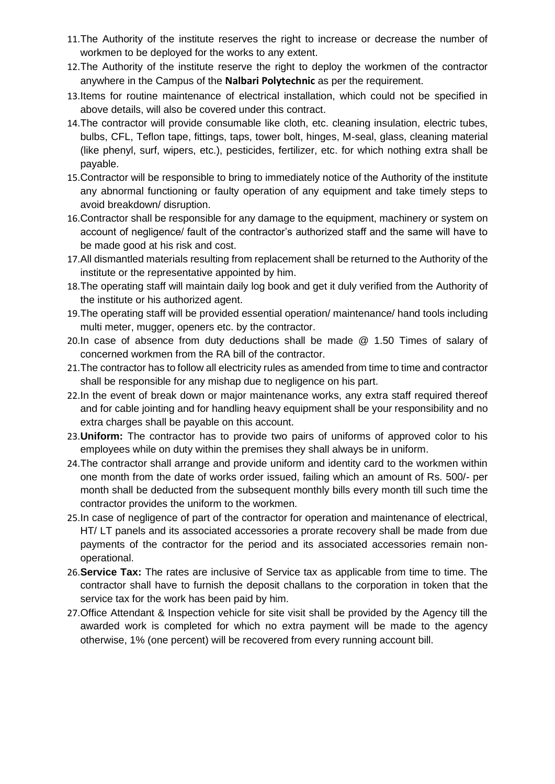- 11.The Authority of the institute reserves the right to increase or decrease the number of workmen to be deployed for the works to any extent.
- 12.The Authority of the institute reserve the right to deploy the workmen of the contractor anywhere in the Campus of the **Nalbari Polytechnic** as per the requirement.
- 13.Items for routine maintenance of electrical installation, which could not be specified in above details, will also be covered under this contract.
- 14.The contractor will provide consumable like cloth, etc. cleaning insulation, electric tubes, bulbs, CFL, Teflon tape, fittings, taps, tower bolt, hinges, M-seal, glass, cleaning material (like phenyl, surf, wipers, etc.), pesticides, fertilizer, etc. for which nothing extra shall be payable.
- 15.Contractor will be responsible to bring to immediately notice of the Authority of the institute any abnormal functioning or faulty operation of any equipment and take timely steps to avoid breakdown/ disruption.
- 16.Contractor shall be responsible for any damage to the equipment, machinery or system on account of negligence/ fault of the contractor's authorized staff and the same will have to be made good at his risk and cost.
- 17.All dismantled materials resulting from replacement shall be returned to the Authority of the institute or the representative appointed by him.
- 18.The operating staff will maintain daily log book and get it duly verified from the Authority of the institute or his authorized agent.
- 19.The operating staff will be provided essential operation/ maintenance/ hand tools including multi meter, mugger, openers etc. by the contractor.
- 20.In case of absence from duty deductions shall be made @ 1.50 Times of salary of concerned workmen from the RA bill of the contractor.
- 21.The contractor has to follow all electricity rules as amended from time to time and contractor shall be responsible for any mishap due to negligence on his part.
- 22.In the event of break down or major maintenance works, any extra staff required thereof and for cable jointing and for handling heavy equipment shall be your responsibility and no extra charges shall be payable on this account.
- 23.**Uniform:** The contractor has to provide two pairs of uniforms of approved color to his employees while on duty within the premises they shall always be in uniform.
- 24.The contractor shall arrange and provide uniform and identity card to the workmen within one month from the date of works order issued, failing which an amount of Rs. 500/- per month shall be deducted from the subsequent monthly bills every month till such time the contractor provides the uniform to the workmen.
- 25.In case of negligence of part of the contractor for operation and maintenance of electrical, HT/ LT panels and its associated accessories a prorate recovery shall be made from due payments of the contractor for the period and its associated accessories remain nonoperational.
- 26.**Service Tax:** The rates are inclusive of Service tax as applicable from time to time. The contractor shall have to furnish the deposit challans to the corporation in token that the service tax for the work has been paid by him.
- 27.Office Attendant & Inspection vehicle for site visit shall be provided by the Agency till the awarded work is completed for which no extra payment will be made to the agency otherwise, 1% (one percent) will be recovered from every running account bill.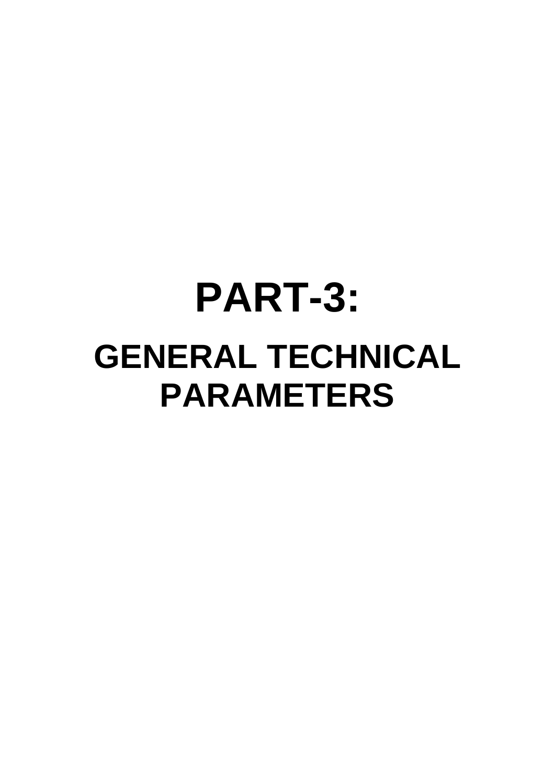# **PART-3: GENERAL TECHNICAL PARAMETERS**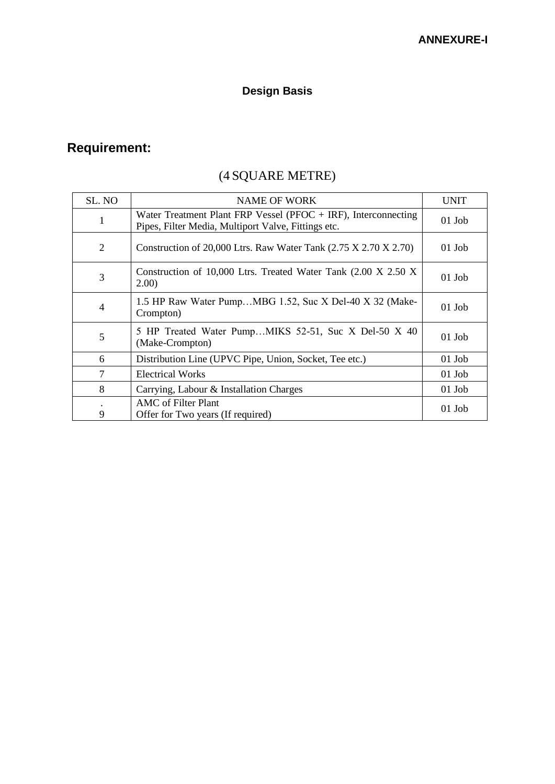## **Design Basis**

# **Requirement:**

# (4 SQUARE METRE)

| SL. NO         | <b>NAME OF WORK</b>                                                                                                     | <b>UNIT</b> |
|----------------|-------------------------------------------------------------------------------------------------------------------------|-------------|
| 1              | Water Treatment Plant FRP Vessel (PFOC $+$ IRF), Interconnecting<br>Pipes, Filter Media, Multiport Valve, Fittings etc. | $01$ Job    |
| 2              | Construction of 20,000 Ltrs. Raw Water Tank $(2.75 \text{ X } 2.70 \text{ X } 2.70)$                                    | $01$ Job    |
| 3              | Construction of 10,000 Ltrs. Treated Water Tank (2.00 X 2.50 X<br>2.00)                                                 | $01$ Job    |
| $\overline{4}$ | 1.5 HP Raw Water PumpMBG 1.52, Suc X Del-40 X 32 (Make-<br>Crompton)                                                    | $01$ Job    |
| 5              | 5 HP Treated Water PumpMIKS 52-51, Suc X Del-50 X 40<br>(Make-Crompton)                                                 | $01$ Job    |
| 6              | Distribution Line (UPVC Pipe, Union, Socket, Tee etc.)                                                                  | $01$ Job    |
| 7              | <b>Electrical Works</b>                                                                                                 | $01$ Job    |
| 8              | Carrying, Labour & Installation Charges                                                                                 | $01$ Job    |
| 9              | AMC of Filter Plant<br>Offer for Two years (If required)                                                                | $01$ Job    |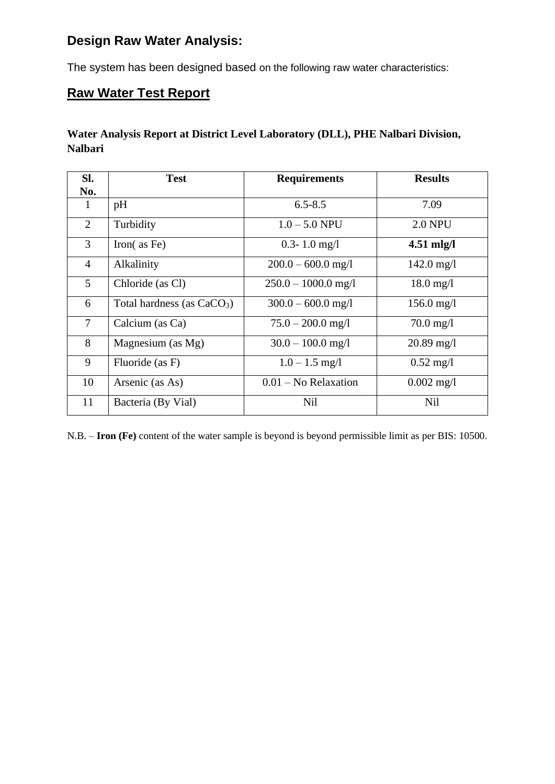## **Design Raw Water Analysis:**

The system has been designed based on the following raw water characteristics:

## **Raw Water Test Report**

### **Water Analysis Report at District Level Laboratory (DLL), PHE Nalbari Division, Nalbari**

| Sl.            | <b>Test</b>                  | <b>Requirements</b>    | <b>Results</b>         |
|----------------|------------------------------|------------------------|------------------------|
| No.            |                              |                        |                        |
| 1              | pH                           | $6.5 - 8.5$            | 7.09                   |
| $\overline{2}$ | Turbidity                    | $1.0 - 5.0$ NPU        | <b>2.0 NPU</b>         |
| 3              | Iron $($ as Fe $)$           | $0.3 - 1.0$ mg/l       | $4.51$ mlg/l           |
| $\overline{4}$ | Alkalinity                   | $200.0 - 600.0$ mg/l   | $142.0 \text{ mg}/1$   |
| 5              | Chloride (as Cl)             | $250.0 - 1000.0$ mg/l  | $18.0 \,\mathrm{mg}/l$ |
| 6              | Total hardness (as $CaCO3$ ) | $300.0 - 600.0$ mg/l   | $156.0$ mg/l           |
| $\overline{7}$ | Calcium (as Ca)              | $75.0 - 200.0$ mg/l    | $70.0 \,\mathrm{mg}/l$ |
| 8              | Magnesium (as Mg)            | $30.0 - 100.0$ mg/l    | $20.89 \text{ mg}/1$   |
| 9              | Fluoride (as F)              | $1.0 - 1.5$ mg/l       | $0.52 \text{ mg}/1$    |
| 10             | Arsenic (as As)              | $0.01$ – No Relaxation | $0.002 \text{ mg}/1$   |
| 11             | Bacteria (By Vial)           | <b>Nil</b>             | <b>Nil</b>             |

N.B. – **Iron (Fe)** content of the water sample is beyond is beyond permissible limit as per BIS: 10500.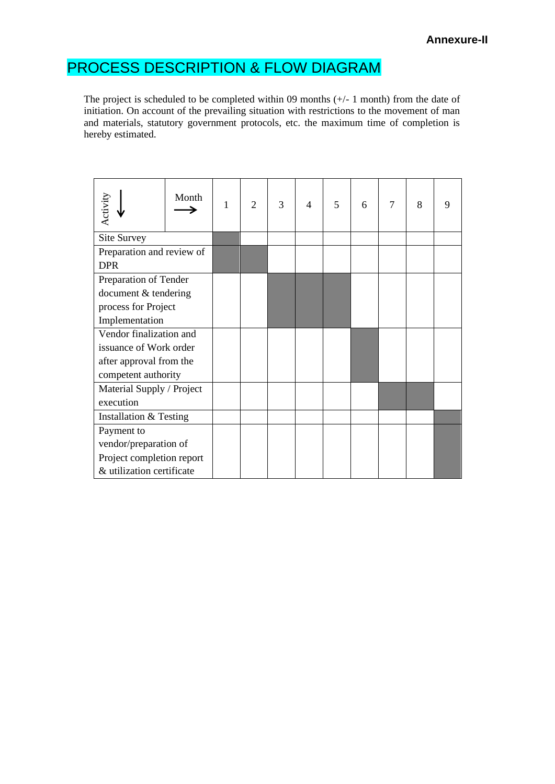# PROCESS DESCRIPTION & FLOW DIAGRAM

The project is scheduled to be completed within 09 months (+/- 1 month) from the date of initiation. On account of the prevailing situation with restrictions to the movement of man and materials, statutory government protocols, etc. the maximum time of completion is hereby estimated.

| Activity                                | Month | 1 | $\overline{2}$ | 3 | $\overline{4}$ | 5 | 6 | $\overline{7}$ | 8 | 9 |
|-----------------------------------------|-------|---|----------------|---|----------------|---|---|----------------|---|---|
| Site Survey                             |       |   |                |   |                |   |   |                |   |   |
| Preparation and review of<br><b>DPR</b> |       |   |                |   |                |   |   |                |   |   |
| Preparation of Tender                   |       |   |                |   |                |   |   |                |   |   |
| document & tendering                    |       |   |                |   |                |   |   |                |   |   |
| process for Project                     |       |   |                |   |                |   |   |                |   |   |
| Implementation                          |       |   |                |   |                |   |   |                |   |   |
| Vendor finalization and                 |       |   |                |   |                |   |   |                |   |   |
| issuance of Work order                  |       |   |                |   |                |   |   |                |   |   |
| after approval from the                 |       |   |                |   |                |   |   |                |   |   |
| competent authority                     |       |   |                |   |                |   |   |                |   |   |
| Material Supply / Project               |       |   |                |   |                |   |   |                |   |   |
| execution                               |       |   |                |   |                |   |   |                |   |   |
| Installation & Testing                  |       |   |                |   |                |   |   |                |   |   |
| Payment to                              |       |   |                |   |                |   |   |                |   |   |
| vendor/preparation of                   |       |   |                |   |                |   |   |                |   |   |
| Project completion report               |       |   |                |   |                |   |   |                |   |   |
| & utilization certificate               |       |   |                |   |                |   |   |                |   |   |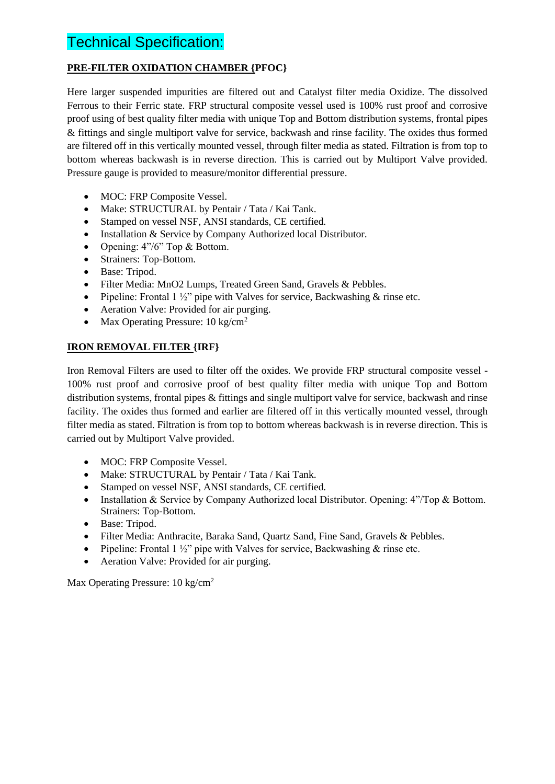# Technical Specification:

### **PRE-FILTER OXIDATION CHAMBER {PFOC}**

Here larger suspended impurities are filtered out and Catalyst filter media Oxidize. The dissolved Ferrous to their Ferric state. FRP structural composite vessel used is 100% rust proof and corrosive proof using of best quality filter media with unique Top and Bottom distribution systems, frontal pipes & fittings and single multiport valve for service, backwash and rinse facility. The oxides thus formed are filtered off in this vertically mounted vessel, through filter media as stated. Filtration is from top to bottom whereas backwash is in reverse direction. This is carried out by Multiport Valve provided. Pressure gauge is provided to measure/monitor differential pressure.

- MOC: FRP Composite Vessel.
- Make: STRUCTURAL by Pentair / Tata / Kai Tank.
- Stamped on vessel NSF, ANSI standards, CE certified.
- Installation & Service by Company Authorized local Distributor.
- Opening: 4"/6" Top & Bottom.
- Strainers: Top-Bottom.
- Base: Tripod.
- Filter Media: MnO2 Lumps, Treated Green Sand, Gravels & Pebbles.
- Pipeline: Frontal 1  $\frac{1}{2}$ " pipe with Valves for service, Backwashing & rinse etc.
- Aeration Valve: Provided for air purging.
- Max Operating Pressure:  $10 \text{ kg/cm}^2$

### **IRON REMOVAL FILTER {IRF}**

Iron Removal Filters are used to filter off the oxides. We provide FRP structural composite vessel - 100% rust proof and corrosive proof of best quality filter media with unique Top and Bottom distribution systems, frontal pipes & fittings and single multiport valve for service, backwash and rinse facility. The oxides thus formed and earlier are filtered off in this vertically mounted vessel, through filter media as stated. Filtration is from top to bottom whereas backwash is in reverse direction. This is carried out by Multiport Valve provided.

- MOC: FRP Composite Vessel.
- Make: STRUCTURAL by Pentair / Tata / Kai Tank.
- Stamped on vessel NSF, ANSI standards, CE certified.
- Installation & Service by Company Authorized local Distributor. Opening: 4"/Top & Bottom. Strainers: Top-Bottom.
- Base: Tripod.
- Filter Media: Anthracite, Baraka Sand, Quartz Sand, Fine Sand, Gravels & Pebbles.
- Pipeline: Frontal 1  $\frac{1}{2}$ " pipe with Valves for service, Backwashing & rinse etc.
- Aeration Valve: Provided for air purging.

Max Operating Pressure: 10 kg/cm<sup>2</sup>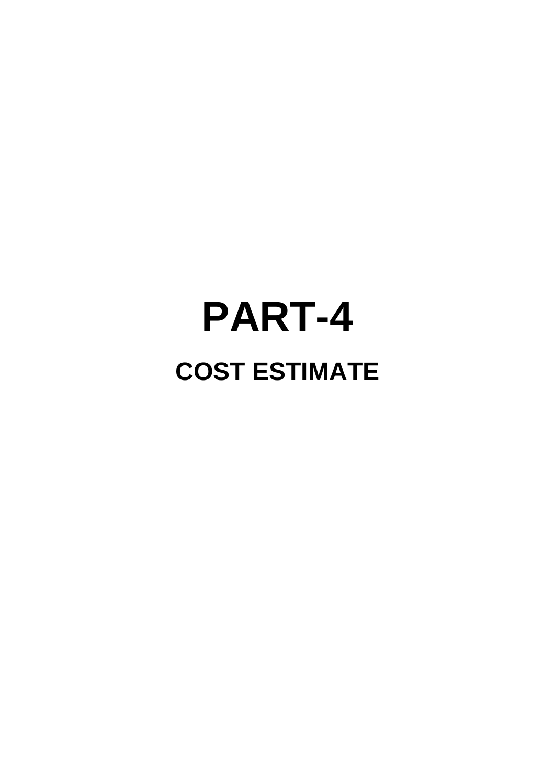# **PART-4 COST ESTIMATE**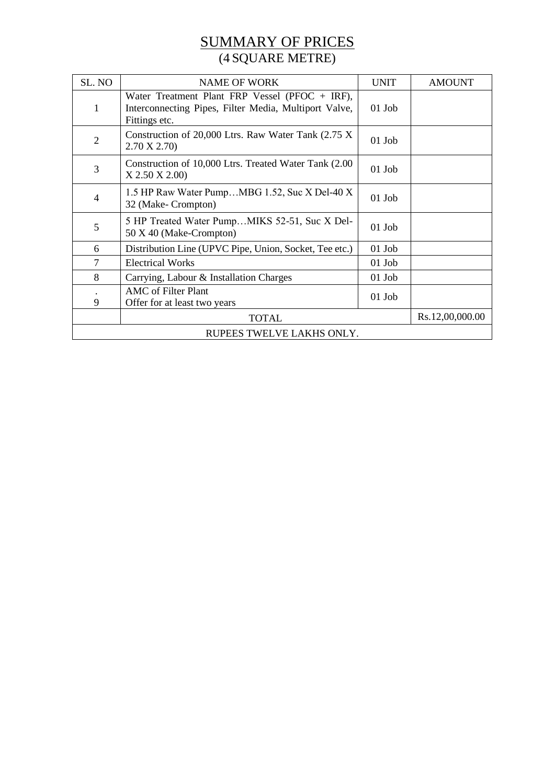### SUMMARY OF PRICES (4 SQUARE METRE)

| SL. NO                          | <b>NAME OF WORK</b>                                                                                                        | <b>UNIT</b> | <b>AMOUNT</b> |  |
|---------------------------------|----------------------------------------------------------------------------------------------------------------------------|-------------|---------------|--|
| $\mathbf{1}$                    | Water Treatment Plant FRP Vessel (PFOC $+$ IRF),<br>Interconnecting Pipes, Filter Media, Multiport Valve,<br>Fittings etc. | $01$ Job    |               |  |
| $\overline{2}$                  | Construction of 20,000 Ltrs. Raw Water Tank (2.75 X)<br>2.70 X 2.70                                                        | $01$ Job    |               |  |
| 3                               | Construction of 10,000 Ltrs. Treated Water Tank (2.00)<br>X 2.50 X 2.00)                                                   | $01$ Job    |               |  |
| $\overline{4}$                  | 1.5 HP Raw Water PumpMBG 1.52, Suc X Del-40 X<br>32 (Make- Crompton)                                                       | $01$ Job    |               |  |
| 5                               | 5 HP Treated Water PumpMIKS 52-51, Suc X Del-<br>50 X 40 (Make-Crompton)                                                   | $01$ Job    |               |  |
| 6                               | Distribution Line (UPVC Pipe, Union, Socket, Tee etc.)                                                                     | $01$ Job    |               |  |
| $\tau$                          | <b>Electrical Works</b>                                                                                                    | $01$ Job    |               |  |
| 8                               | Carrying, Labour & Installation Charges                                                                                    | $01$ Job    |               |  |
| 9                               | <b>AMC</b> of Filter Plant<br>Offer for at least two years                                                                 | $01$ Job    |               |  |
| Rs.12,00,000.00<br><b>TOTAL</b> |                                                                                                                            |             |               |  |
| RUPEES TWELVE LAKHS ONLY.       |                                                                                                                            |             |               |  |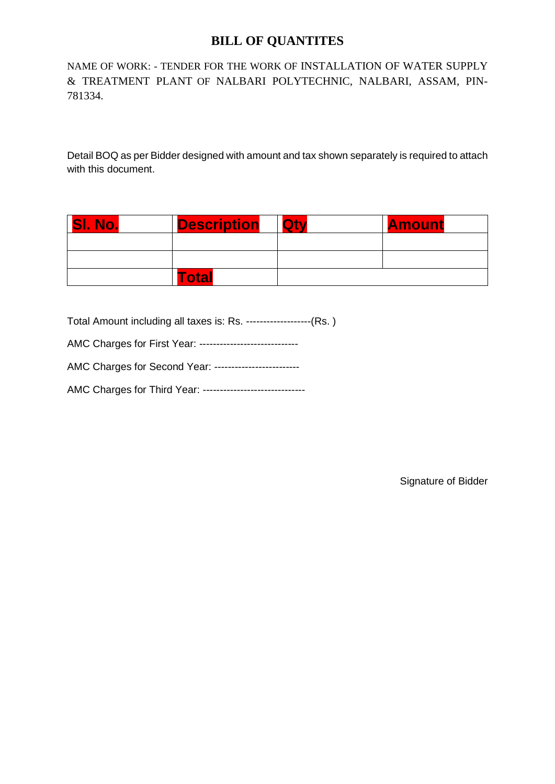### **BILL OF QUANTITES**

NAME OF WORK: - TENDER FOR THE WORK OF INSTALLATION OF WATER SUPPLY & TREATMENT PLANT OF NALBARI POLYTECHNIC, NALBARI, ASSAM, PIN-781334.

Detail BOQ as per Bidder designed with amount and tax shown separately is required to attach with this document.

| <b>SI.</b><br>No. | <b>Description</b> | <b>Qtv</b> | <b>Amount</b> |
|-------------------|--------------------|------------|---------------|
|                   |                    |            |               |
|                   |                    |            |               |
|                   | Total              |            |               |

Total Amount including all taxes is: Rs. -------------------(Rs. )

|  | AMC Charges for First Year: ---------------------------- |
|--|----------------------------------------------------------|
|  |                                                          |

AMC Charges for Second Year: -------------------------

AMC Charges for Third Year: ------------------------------

Signature of Bidder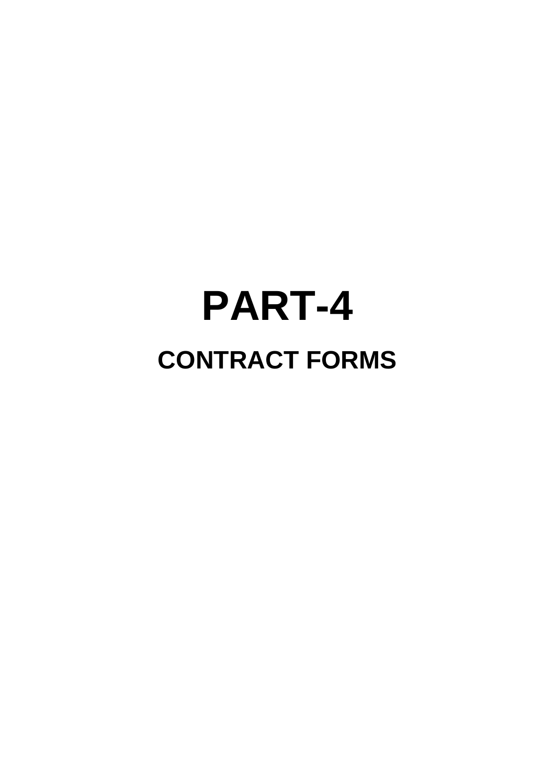# **PART-4 CONTRACT FORMS**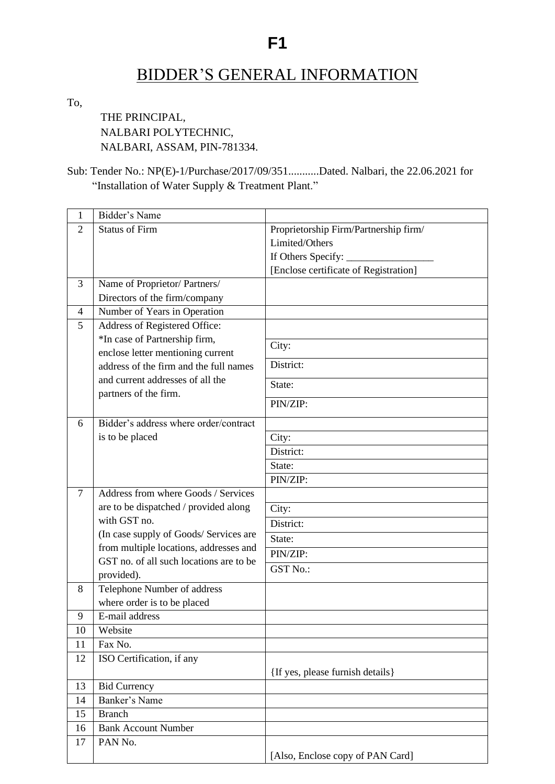# **F1**

# BIDDER'S GENERAL INFORMATION

To,

THE PRINCIPAL, NALBARI POLYTECHNIC, NALBARI, ASSAM, PIN-781334.

Sub: Tender No.: NP(E)-1/Purchase/2017/09/351...........Dated. Nalbari, the 22.06.2021 for "Installation of Water Supply & Treatment Plant."

| 1              | Bidder's Name                                             |                                       |
|----------------|-----------------------------------------------------------|---------------------------------------|
| $\overline{2}$ | <b>Status of Firm</b>                                     | Proprietorship Firm/Partnership firm/ |
|                |                                                           | Limited/Others                        |
|                |                                                           | If Others Specify: _                  |
|                |                                                           | [Enclose certificate of Registration] |
| 3              | Name of Proprietor/ Partners/                             |                                       |
|                | Directors of the firm/company                             |                                       |
| 4              | Number of Years in Operation                              |                                       |
| 5              | Address of Registered Office:                             |                                       |
|                | *In case of Partnership firm,                             | City:                                 |
|                | enclose letter mentioning current                         |                                       |
|                | address of the firm and the full names                    | District:                             |
|                | and current addresses of all the<br>partners of the firm. | State:                                |
|                |                                                           | PIN/ZIP:                              |
| 6              | Bidder's address where order/contract                     |                                       |
|                | is to be placed                                           | City:                                 |
|                |                                                           | District:                             |
|                |                                                           | State:                                |
|                |                                                           | PIN/ZIP:                              |
| $\overline{7}$ | Address from where Goods / Services                       |                                       |
|                | are to be dispatched / provided along                     | City:                                 |
|                | with GST no.                                              | District:                             |
|                | (In case supply of Goods/ Services are                    | State:                                |
|                | from multiple locations, addresses and                    | PIN/ZIP:                              |
|                | GST no. of all such locations are to be                   | <b>GST No.:</b>                       |
|                | provided).                                                |                                       |
| 8              | Telephone Number of address                               |                                       |
|                | where order is to be placed                               |                                       |
| 9              | E-mail address<br>Website                                 |                                       |
| 10             | Fax No.                                                   |                                       |
| 11             |                                                           |                                       |
| 12             | ISO Certification, if any                                 | {If yes, please furnish details}      |
| 13             | <b>Bid Currency</b>                                       |                                       |
| 14             | Banker's Name                                             |                                       |
| 15             | <b>Branch</b>                                             |                                       |
| 16             | <b>Bank Account Number</b>                                |                                       |
| 17             | PAN No.                                                   |                                       |
|                |                                                           | [Also, Enclose copy of PAN Card]      |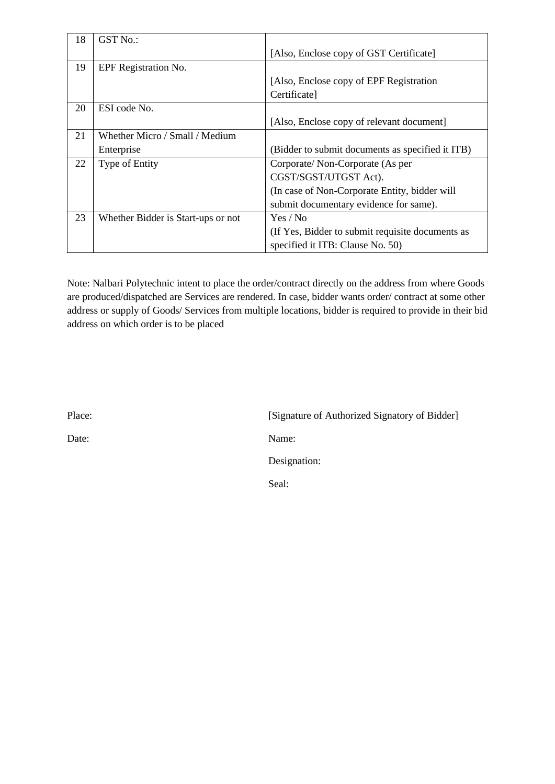| 18 | GST No.:                           |                                                  |
|----|------------------------------------|--------------------------------------------------|
|    |                                    | [Also, Enclose copy of GST Certificate]          |
| 19 | EPF Registration No.               |                                                  |
|    |                                    | [Also, Enclose copy of EPF Registration          |
|    |                                    | Certificate]                                     |
| 20 | ESI code No.                       |                                                  |
|    |                                    | [Also, Enclose copy of relevant document]        |
| 21 | Whether Micro / Small / Medium     |                                                  |
|    | Enterprise                         | (Bidder to submit documents as specified it ITB) |
| 22 | <b>Type of Entity</b>              | Corporate/Non-Corporate (As per                  |
|    |                                    | CGST/SGST/UTGST Act).                            |
|    |                                    | (In case of Non-Corporate Entity, bidder will    |
|    |                                    | submit documentary evidence for same).           |
| 23 | Whether Bidder is Start-ups or not | Yes / No                                         |
|    |                                    | (If Yes, Bidder to submit requisite documents as |
|    |                                    | specified it ITB: Clause No. 50)                 |

Note: Nalbari Polytechnic intent to place the order/contract directly on the address from where Goods are produced/dispatched are Services are rendered. In case, bidder wants order/ contract at some other address or supply of Goods/ Services from multiple locations, bidder is required to provide in their bid address on which order is to be placed

Place: [Signature of Authorized Signatory of Bidder] Date: Name: Designation: Seal: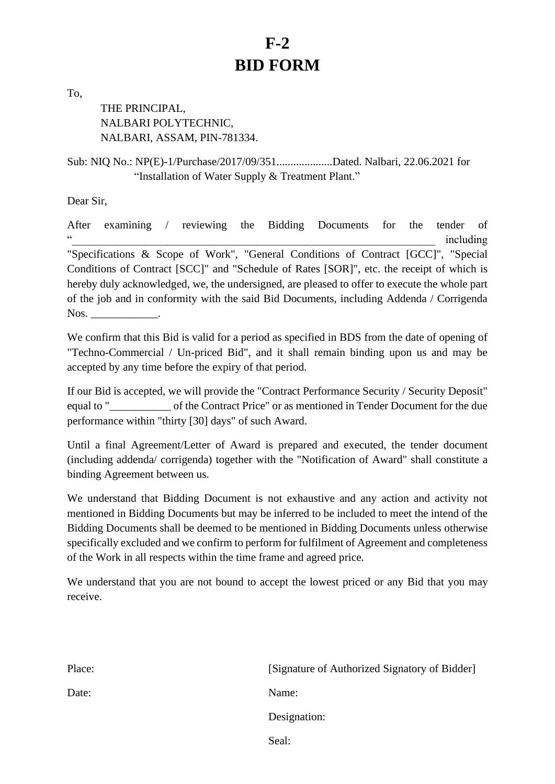# **F-2 BID FORM**

To,

THE PRINCIPAL, NALBARI POLYTECHNIC, NALBARI, ASSAM, PIN-781334.

Sub: NIQ No.: NP(E)-1/Purchase/2017/09/351....................Dated. Nalbari, 22.06.2021 for "Installation of Water Supply & Treatment Plant."

Dear Sir,

After examining / reviewing the Bidding Documents for the tender of "\_\_\_\_\_\_\_\_\_\_\_\_\_\_\_\_\_\_\_\_\_\_\_\_\_\_\_\_\_\_\_\_\_\_\_\_\_\_\_\_\_\_\_\_\_\_\_\_\_\_\_\_\_\_\_\_\_\_\_\_\_\_\_\_\_ including "Specifications & Scope of Work", "General Conditions of Contract [GCC]", "Special Conditions of Contract [SCC]" and "Schedule of Rates [SOR]", etc. the receipt of which is hereby duly acknowledged, we, the undersigned, are pleased to offer to execute the whole part of the job and in conformity with the said Bid Documents, including Addenda / Corrigenda Nos.

We confirm that this Bid is valid for a period as specified in BDS from the date of opening of "Techno-Commercial / Un-priced Bid", and it shall remain binding upon us and may be accepted by any time before the expiry of that period.

If our Bid is accepted, we will provide the "Contract Performance Security / Security Deposit" equal to "\_\_\_\_\_\_\_\_\_\_\_ of the Contract Price" or as mentioned in Tender Document for the due performance within "thirty [30] days" of such Award.

Until a final Agreement/Letter of Award is prepared and executed, the tender document (including addenda/ corrigenda) together with the "Notification of Award" shall constitute a binding Agreement between us.

We understand that Bidding Document is not exhaustive and any action and activity not mentioned in Bidding Documents but may be inferred to be included to meet the intend of the Bidding Documents shall be deemed to be mentioned in Bidding Documents unless otherwise specifically excluded and we confirm to perform for fulfilment of Agreement and completeness of the Work in all respects within the time frame and agreed price.

We understand that you are not bound to accept the lowest priced or any Bid that you may receive.

| Place: | [Signature of Authorized Signatory of Bidder] |
|--------|-----------------------------------------------|
| Date:  | Name:                                         |
|        | Designation:                                  |
|        | Seal:                                         |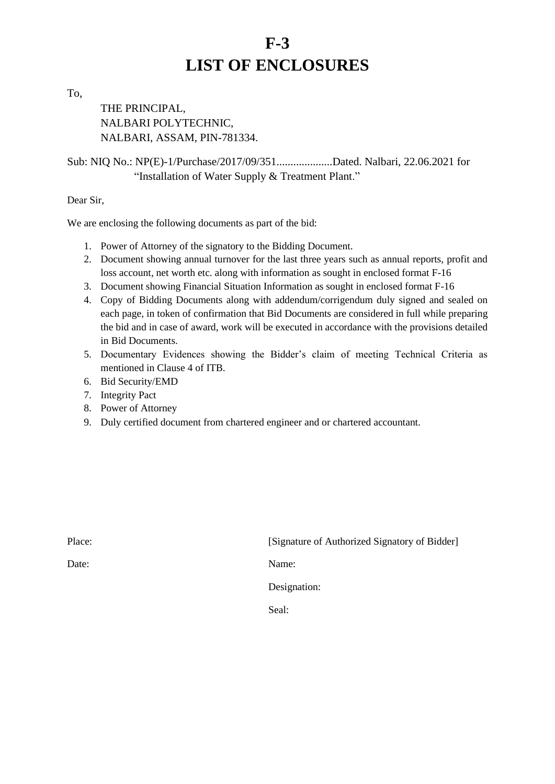# **F-3 LIST OF ENCLOSURES**

To,

THE PRINCIPAL, NALBARI POLYTECHNIC, NALBARI, ASSAM, PIN-781334.

Sub: NIQ No.: NP(E)-1/Purchase/2017/09/351....................Dated. Nalbari, 22.06.2021 for "Installation of Water Supply & Treatment Plant."

Dear Sir,

We are enclosing the following documents as part of the bid:

- 1. Power of Attorney of the signatory to the Bidding Document.
- 2. Document showing annual turnover for the last three years such as annual reports, profit and loss account, net worth etc. along with information as sought in enclosed format F-16
- 3. Document showing Financial Situation Information as sought in enclosed format F-16
- 4. Copy of Bidding Documents along with addendum/corrigendum duly signed and sealed on each page, in token of confirmation that Bid Documents are considered in full while preparing the bid and in case of award, work will be executed in accordance with the provisions detailed in Bid Documents.
- 5. Documentary Evidences showing the Bidder's claim of meeting Technical Criteria as mentioned in Clause 4 of ITB.
- 6. Bid Security/EMD
- 7. Integrity Pact
- 8. Power of Attorney
- 9. Duly certified document from chartered engineer and or chartered accountant.

| Place: | [Signature of Authorized Signatory of Bidder] |
|--------|-----------------------------------------------|
| Date:  | Name:                                         |
|        | Designation:                                  |
|        | Seal:                                         |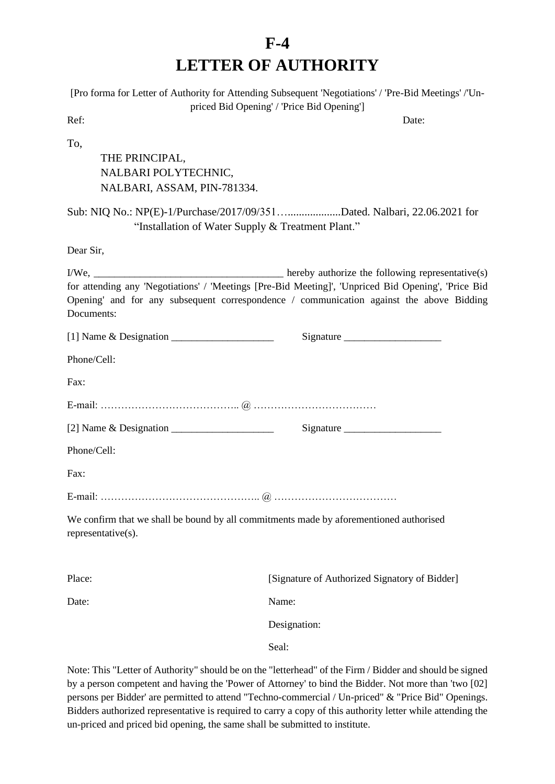# **F-4 LETTER OF AUTHORITY**

|                                                                                                              | [Pro forma for Letter of Authority for Attending Subsequent 'Negotiations' / 'Pre-Bid Meetings' /'Un-                                                                                           |
|--------------------------------------------------------------------------------------------------------------|-------------------------------------------------------------------------------------------------------------------------------------------------------------------------------------------------|
| Ref:                                                                                                         | priced Bid Opening' / 'Price Bid Opening']<br>Date:                                                                                                                                             |
| To,<br>THE PRINCIPAL,<br>NALBARI POLYTECHNIC,<br>NALBARI, ASSAM, PIN-781334.                                 |                                                                                                                                                                                                 |
| "Installation of Water Supply & Treatment Plant."                                                            | Sub: NIQ No.: NP(E)-1/Purchase/2017/09/351Dated. Nalbari, 22.06.2021 for                                                                                                                        |
| Dear Sir,                                                                                                    |                                                                                                                                                                                                 |
| Documents:                                                                                                   | for attending any 'Negotiations' / 'Meetings [Pre-Bid Meeting]', 'Unpriced Bid Opening', 'Price Bid<br>Opening' and for any subsequent correspondence / communication against the above Bidding |
|                                                                                                              |                                                                                                                                                                                                 |
| Phone/Cell:                                                                                                  |                                                                                                                                                                                                 |
| Fax:                                                                                                         |                                                                                                                                                                                                 |
|                                                                                                              |                                                                                                                                                                                                 |
|                                                                                                              | Signature                                                                                                                                                                                       |
| Phone/Cell:                                                                                                  |                                                                                                                                                                                                 |
| Fax:                                                                                                         |                                                                                                                                                                                                 |
|                                                                                                              |                                                                                                                                                                                                 |
| We confirm that we shall be bound by all commitments made by aforementioned authorised<br>representative(s). |                                                                                                                                                                                                 |
| Place:                                                                                                       | [Signature of Authorized Signatory of Bidder]                                                                                                                                                   |
| Date:                                                                                                        | Name:                                                                                                                                                                                           |
|                                                                                                              | Designation:                                                                                                                                                                                    |
|                                                                                                              | Seal:                                                                                                                                                                                           |
|                                                                                                              | Note: This "Letter of Authority" should be on the "letterhead" of the Firm / Bidder and should be signed                                                                                        |

by a person competent and having the 'Power of Attorney' to bind the Bidder. Not more than 'two [02] persons per Bidder' are permitted to attend "Techno-commercial / Un-priced" & "Price Bid" Openings. Bidders authorized representative is required to carry a copy of this authority letter while attending the un-priced and priced bid opening, the same shall be submitted to institute.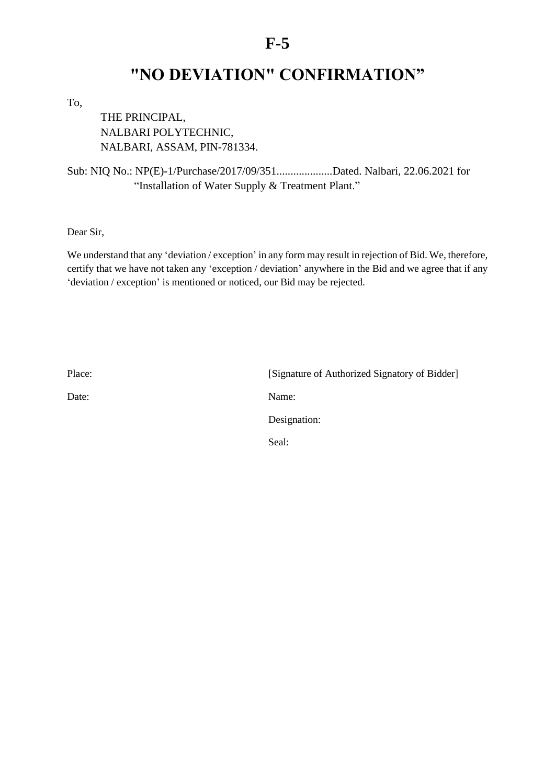# **"NO DEVIATION" CONFIRMATION"**

To,

THE PRINCIPAL, NALBARI POLYTECHNIC, NALBARI, ASSAM, PIN-781334.

Sub: NIQ No.: NP(E)-1/Purchase/2017/09/351....................Dated. Nalbari, 22.06.2021 for "Installation of Water Supply & Treatment Plant."

Dear Sir,

We understand that any 'deviation / exception' in any form may result in rejection of Bid. We, therefore, certify that we have not taken any 'exception / deviation' anywhere in the Bid and we agree that if any 'deviation / exception' is mentioned or noticed, our Bid may be rejected.

Place: [Signature of Authorized Signatory of Bidder] Date: Name: Designation: Seal: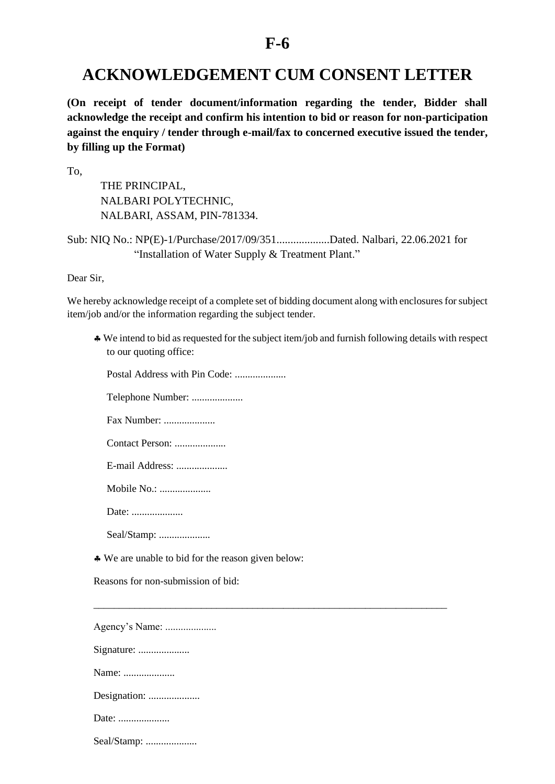## **ACKNOWLEDGEMENT CUM CONSENT LETTER**

**(On receipt of tender document/information regarding the tender, Bidder shall acknowledge the receipt and confirm his intention to bid or reason for non-participation against the enquiry / tender through e-mail/fax to concerned executive issued the tender, by filling up the Format)**

To,

THE PRINCIPAL, NALBARI POLYTECHNIC, NALBARI, ASSAM, PIN-781334.

Sub: NIQ No.: NP(E)-1/Purchase/2017/09/351...................Dated. Nalbari, 22.06.2021 for "Installation of Water Supply & Treatment Plant."

Dear Sir,

We hereby acknowledge receipt of a complete set of bidding document along with enclosures for subject item/job and/or the information regarding the subject tender.

\_\_\_\_\_\_\_\_\_\_\_\_\_\_\_\_\_\_\_\_\_\_\_\_\_\_\_\_\_\_\_\_\_\_\_\_\_\_\_\_\_\_\_\_\_\_\_\_\_\_\_\_\_\_\_\_\_\_\_\_\_\_\_\_\_\_\_\_\_

 We intend to bid as requested for the subject item/job and furnish following details with respect to our quoting office:

Postal Address with Pin Code:

Telephone Number: ....................

Fax Number: ....................

Contact Person: ....................

E-mail Address:

Mobile No.: ....................

Date: ....................

Seal/Stamp: ......................

We are unable to bid for the reason given below:

Reasons for non-submission of bid:

Agency's Name: ....................

Signature: ....................

Name: .......................

Designation: ....................

Date: ......................

Seal/Stamp: .....................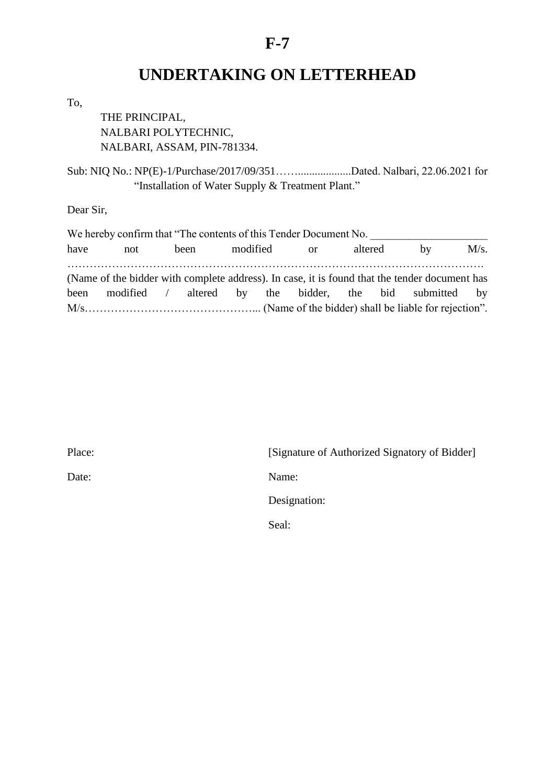# **UNDERTAKING ON LETTERHEAD**

To,

THE PRINCIPAL, NALBARI POLYTECHNIC, NALBARI, ASSAM, PIN-781334.

Sub: NIQ No.: NP(E)-1/Purchase/2017/09/351……...................Dated. Nalbari, 22.06.2021 for "Installation of Water Supply & Treatment Plant."

Dear Sir,

|      | We hereby confirm that "The contents of this Tender Document No. |                  |  |  |         |                                                                                               |      |
|------|------------------------------------------------------------------|------------------|--|--|---------|-----------------------------------------------------------------------------------------------|------|
| have | not                                                              | been modified or |  |  | altered | $-$ by                                                                                        | M/s. |
|      |                                                                  |                  |  |  |         | (Name of the bidder with complete address). In case, it is found that the tender document has |      |
|      |                                                                  |                  |  |  |         | been modified / altered by the bidder, the bid submitted by                                   |      |
|      |                                                                  |                  |  |  |         |                                                                                               |      |

| Place: | [Signature of Authorized Signatory of Bidder] |
|--------|-----------------------------------------------|
| Date:  | Name:                                         |
|        | Designation:                                  |
|        | Seal:                                         |
|        |                                               |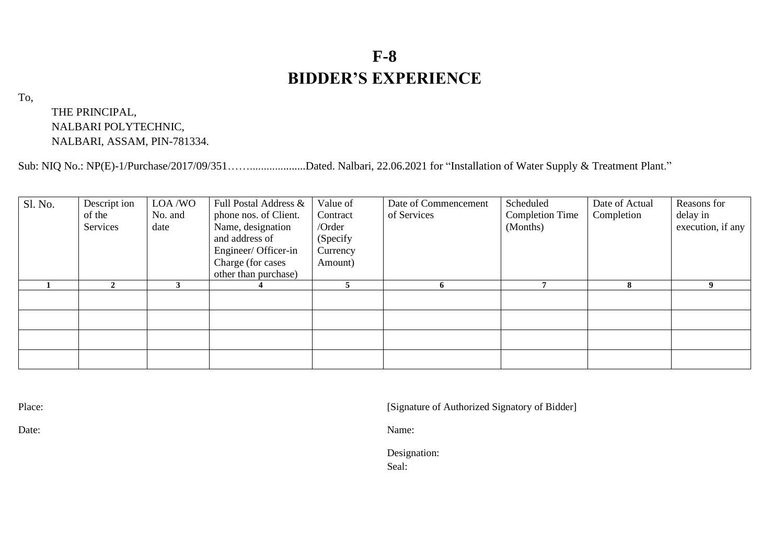# **F-8 BIDDER'S EXPERIENCE**

To,

THE PRINCIPAL, NALBARI POLYTECHNIC, NALBARI, ASSAM, PIN-781334.

Sub: NIQ No.: NP(E)-1/Purchase/2017/09/351……....................Dated. Nalbari, 22.06.2021 for "Installation of Water Supply & Treatment Plant."

| Sl. No. | Descript ion<br>of the<br>Services | LOA/WO<br>No. and<br>date | Full Postal Address &<br>phone nos. of Client.<br>Name, designation<br>and address of<br>Engineer/ Officer-in<br>Charge (for cases<br>other than purchase) | Value of<br>Contract<br>/Order<br>(Specify<br>Currency<br>Amount) | Date of Commencement<br>of Services | Scheduled<br><b>Completion Time</b><br>(Months) | Date of Actual<br>Completion | Reasons for<br>delay in<br>execution, if any |
|---------|------------------------------------|---------------------------|------------------------------------------------------------------------------------------------------------------------------------------------------------|-------------------------------------------------------------------|-------------------------------------|-------------------------------------------------|------------------------------|----------------------------------------------|
|         | $\mathbf{2}$                       |                           |                                                                                                                                                            |                                                                   |                                     |                                                 | 8                            | 9                                            |
|         |                                    |                           |                                                                                                                                                            |                                                                   |                                     |                                                 |                              |                                              |
|         |                                    |                           |                                                                                                                                                            |                                                                   |                                     |                                                 |                              |                                              |
|         |                                    |                           |                                                                                                                                                            |                                                                   |                                     |                                                 |                              |                                              |

Place: [Signature of Authorized Signatory of Bidder]

Date: Name:

Designation:

Seal: